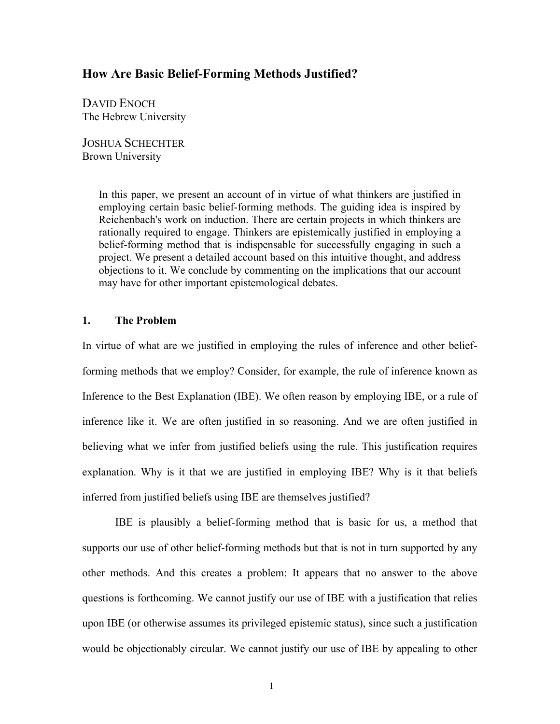# **How Are Basic Belief-Forming Methods Justified?**

DAVID ENOCH The Hebrew University

JOSHUA SCHECHTER Brown University

> In this paper, we present an account of in virtue of what thinkers are justified in employing certain basic belief-forming methods. The guiding idea is inspired by Reichenbach's work on induction. There are certain projects in which thinkers are rationally required to engage. Thinkers are epistemically justified in employing a belief-forming method that is indispensable for successfully engaging in such a project. We present a detailed account based on this intuitive thought, and address objections to it. We conclude by commenting on the implications that our account may have for other important epistemological debates.

## **1. The Problem**

In virtue of what are we justified in employing the rules of inference and other beliefforming methods that we employ? Consider, for example, the rule of inference known as Inference to the Best Explanation (IBE). We often reason by employing IBE, or a rule of inference like it. We are often justified in so reasoning. And we are often justified in believing what we infer from justified beliefs using the rule. This justification requires explanation. Why is it that we are justified in employing IBE? Why is it that beliefs inferred from justified beliefs using IBE are themselves justified?

IBE is plausibly a belief-forming method that is basic for us, a method that supports our use of other belief-forming methods but that is not in turn supported by any other methods. And this creates a problem: It appears that no answer to the above questions is forthcoming. We cannot justify our use of IBE with a justification that relies upon IBE (or otherwise assumes its privileged epistemic status), since such a justification would be objectionably circular. We cannot justify our use of IBE by appealing to other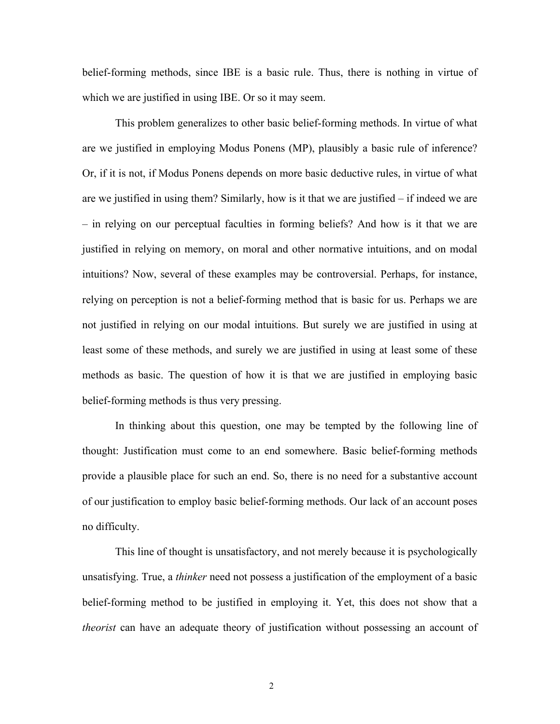belief-forming methods, since IBE is a basic rule. Thus, there is nothing in virtue of which we are justified in using IBE. Or so it may seem.

This problem generalizes to other basic belief-forming methods. In virtue of what are we justified in employing Modus Ponens (MP), plausibly a basic rule of inference? Or, if it is not, if Modus Ponens depends on more basic deductive rules, in virtue of what are we justified in using them? Similarly, how is it that we are justified – if indeed we are – in relying on our perceptual faculties in forming beliefs? And how is it that we are justified in relying on memory, on moral and other normative intuitions, and on modal intuitions? Now, several of these examples may be controversial. Perhaps, for instance, relying on perception is not a belief-forming method that is basic for us. Perhaps we are not justified in relying on our modal intuitions. But surely we are justified in using at least some of these methods, and surely we are justified in using at least some of these methods as basic. The question of how it is that we are justified in employing basic belief-forming methods is thus very pressing.

In thinking about this question, one may be tempted by the following line of thought: Justification must come to an end somewhere. Basic belief-forming methods provide a plausible place for such an end. So, there is no need for a substantive account of our justification to employ basic belief-forming methods. Our lack of an account poses no difficulty.

This line of thought is unsatisfactory, and not merely because it is psychologically unsatisfying. True, a *thinker* need not possess a justification of the employment of a basic belief-forming method to be justified in employing it. Yet, this does not show that a *theorist* can have an adequate theory of justification without possessing an account of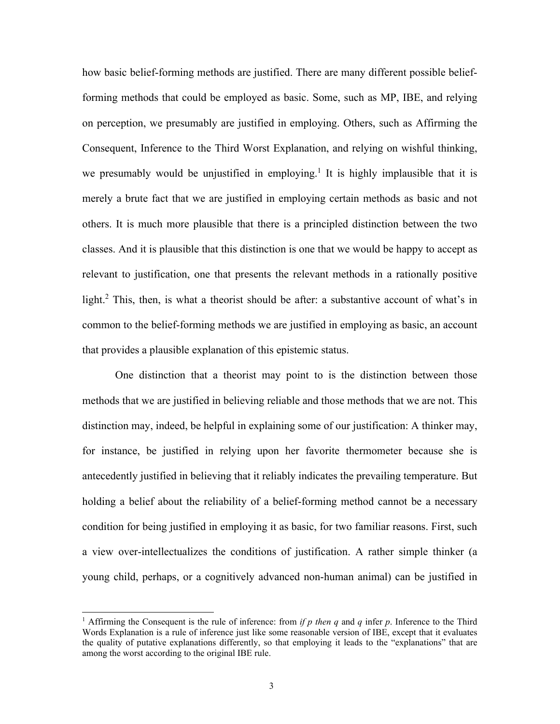how basic belief-forming methods are justified. There are many different possible beliefforming methods that could be employed as basic. Some, such as MP, IBE, and relying on perception, we presumably are justified in employing. Others, such as Affirming the Consequent, Inference to the Third Worst Explanation, and relying on wishful thinking, we presumably would be unjustified in employing.<sup>1</sup> It is highly implausible that it is merely a brute fact that we are justified in employing certain methods as basic and not others. It is much more plausible that there is a principled distinction between the two classes. And it is plausible that this distinction is one that we would be happy to accept as relevant to justification, one that presents the relevant methods in a rationally positive light.<sup>2</sup> This, then, is what a theorist should be after: a substantive account of what's in common to the belief-forming methods we are justified in employing as basic, an account that provides a plausible explanation of this epistemic status.

One distinction that a theorist may point to is the distinction between those methods that we are justified in believing reliable and those methods that we are not. This distinction may, indeed, be helpful in explaining some of our justification: A thinker may, for instance, be justified in relying upon her favorite thermometer because she is antecedently justified in believing that it reliably indicates the prevailing temperature. But holding a belief about the reliability of a belief-forming method cannot be a necessary condition for being justified in employing it as basic, for two familiar reasons. First, such a view over-intellectualizes the conditions of justification. A rather simple thinker (a young child, perhaps, or a cognitively advanced non-human animal) can be justified in

<sup>1</sup> Affirming the Consequent is the rule of inference: from *if p then q* and *q* infer *p*. Inference to the Third Words Explanation is a rule of inference just like some reasonable version of IBE, except that it evaluates the quality of putative explanations differently, so that employing it leads to the "explanations" that are among the worst according to the original IBE rule.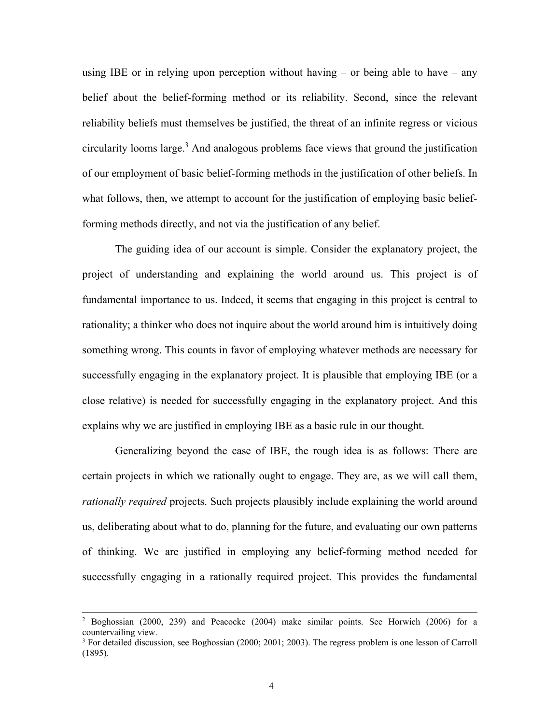using IBE or in relying upon perception without having – or being able to have – any belief about the belief-forming method or its reliability. Second, since the relevant reliability beliefs must themselves be justified, the threat of an infinite regress or vicious  $circularity$  looms large.<sup>3</sup> And analogous problems face views that ground the justification of our employment of basic belief-forming methods in the justification of other beliefs. In what follows, then, we attempt to account for the justification of employing basic beliefforming methods directly, and not via the justification of any belief.

The guiding idea of our account is simple. Consider the explanatory project, the project of understanding and explaining the world around us. This project is of fundamental importance to us. Indeed, it seems that engaging in this project is central to rationality; a thinker who does not inquire about the world around him is intuitively doing something wrong. This counts in favor of employing whatever methods are necessary for successfully engaging in the explanatory project. It is plausible that employing IBE (or a close relative) is needed for successfully engaging in the explanatory project. And this explains why we are justified in employing IBE as a basic rule in our thought.

Generalizing beyond the case of IBE, the rough idea is as follows: There are certain projects in which we rationally ought to engage. They are, as we will call them, *rationally required* projects. Such projects plausibly include explaining the world around us, deliberating about what to do, planning for the future, and evaluating our own patterns of thinking. We are justified in employing any belief-forming method needed for successfully engaging in a rationally required project. This provides the fundamental

<sup>2</sup> Boghossian (2000, 239) and Peacocke (2004) make similar points. See Horwich (2006) for a countervailing view.

<sup>&</sup>lt;sup>3</sup> For detailed discussion, see Boghossian (2000; 2001; 2003). The regress problem is one lesson of Carroll (1895).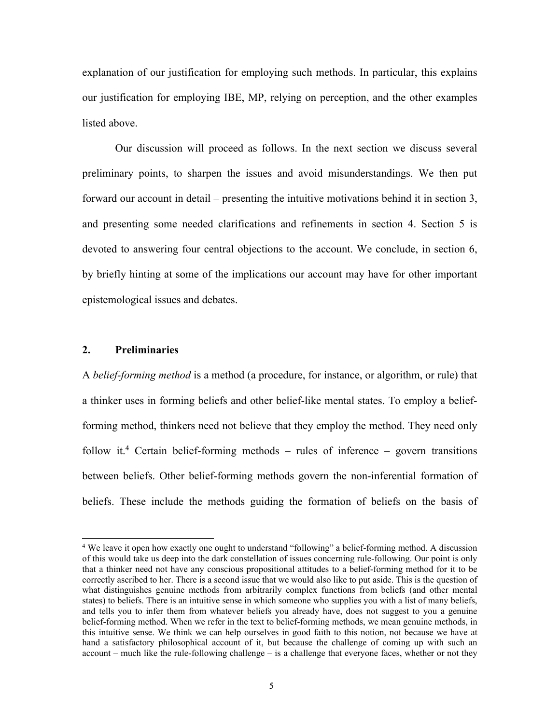explanation of our justification for employing such methods. In particular, this explains our justification for employing IBE, MP, relying on perception, and the other examples listed above.

Our discussion will proceed as follows. In the next section we discuss several preliminary points, to sharpen the issues and avoid misunderstandings. We then put forward our account in detail – presenting the intuitive motivations behind it in section 3, and presenting some needed clarifications and refinements in section 4. Section 5 is devoted to answering four central objections to the account. We conclude, in section 6, by briefly hinting at some of the implications our account may have for other important epistemological issues and debates.

#### **2. Preliminaries**

A *belief-forming method* is a method (a procedure, for instance, or algorithm, or rule) that a thinker uses in forming beliefs and other belief-like mental states. To employ a beliefforming method, thinkers need not believe that they employ the method. They need only follow it.<sup>4</sup> Certain belief-forming methods – rules of inference – govern transitions between beliefs. Other belief-forming methods govern the non-inferential formation of beliefs. These include the methods guiding the formation of beliefs on the basis of

<sup>&</sup>lt;sup>4</sup> We leave it open how exactly one ought to understand "following" a belief-forming method. A discussion of this would take us deep into the dark constellation of issues concerning rule-following. Our point is only that a thinker need not have any conscious propositional attitudes to a belief-forming method for it to be correctly ascribed to her. There is a second issue that we would also like to put aside. This is the question of what distinguishes genuine methods from arbitrarily complex functions from beliefs (and other mental states) to beliefs. There is an intuitive sense in which someone who supplies you with a list of many beliefs, and tells you to infer them from whatever beliefs you already have, does not suggest to you a genuine belief-forming method. When we refer in the text to belief-forming methods, we mean genuine methods, in this intuitive sense. We think we can help ourselves in good faith to this notion, not because we have at hand a satisfactory philosophical account of it, but because the challenge of coming up with such an account – much like the rule-following challenge – is a challenge that everyone faces, whether or not they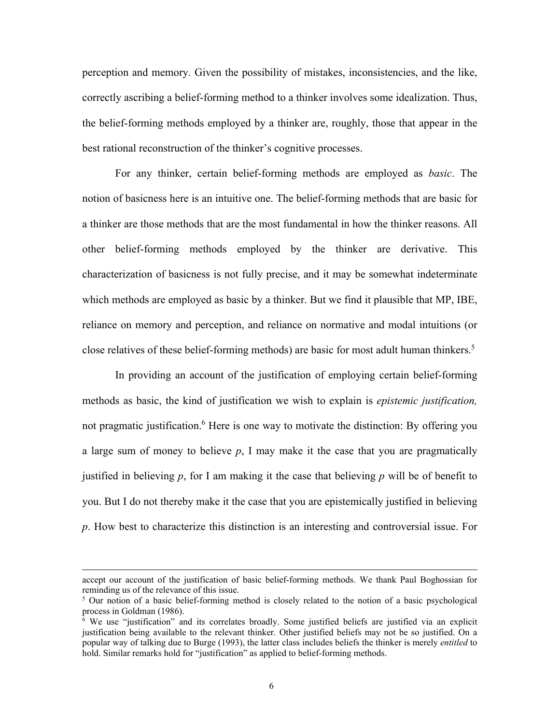perception and memory. Given the possibility of mistakes, inconsistencies, and the like, correctly ascribing a belief-forming method to a thinker involves some idealization. Thus, the belief-forming methods employed by a thinker are, roughly, those that appear in the best rational reconstruction of the thinker's cognitive processes.

For any thinker, certain belief-forming methods are employed as *basic*. The notion of basicness here is an intuitive one. The belief-forming methods that are basic for a thinker are those methods that are the most fundamental in how the thinker reasons. All other belief-forming methods employed by the thinker are derivative. This characterization of basicness is not fully precise, and it may be somewhat indeterminate which methods are employed as basic by a thinker. But we find it plausible that MP, IBE, reliance on memory and perception, and reliance on normative and modal intuitions (or close relatives of these belief-forming methods) are basic for most adult human thinkers.<sup>5</sup>

In providing an account of the justification of employing certain belief-forming methods as basic, the kind of justification we wish to explain is *epistemic justification,*  not pragmatic justification.<sup>6</sup> Here is one way to motivate the distinction: By offering you a large sum of money to believe *p*, I may make it the case that you are pragmatically justified in believing *p*, for I am making it the case that believing *p* will be of benefit to you. But I do not thereby make it the case that you are epistemically justified in believing *p*. How best to characterize this distinction is an interesting and controversial issue. For

accept our account of the justification of basic belief-forming methods. We thank Paul Boghossian for reminding us of the relevance of this issue.

<sup>&</sup>lt;sup>5</sup> Our notion of a basic belief-forming method is closely related to the notion of a basic psychological process in Goldman (1986).

<sup>&</sup>lt;sup>6</sup> We use "justification" and its correlates broadly. Some justified beliefs are justified via an explicit justification being available to the relevant thinker. Other justified beliefs may not be so justified. On a popular way of talking due to Burge (1993), the latter class includes beliefs the thinker is merely *entitled* to hold. Similar remarks hold for "justification" as applied to belief-forming methods.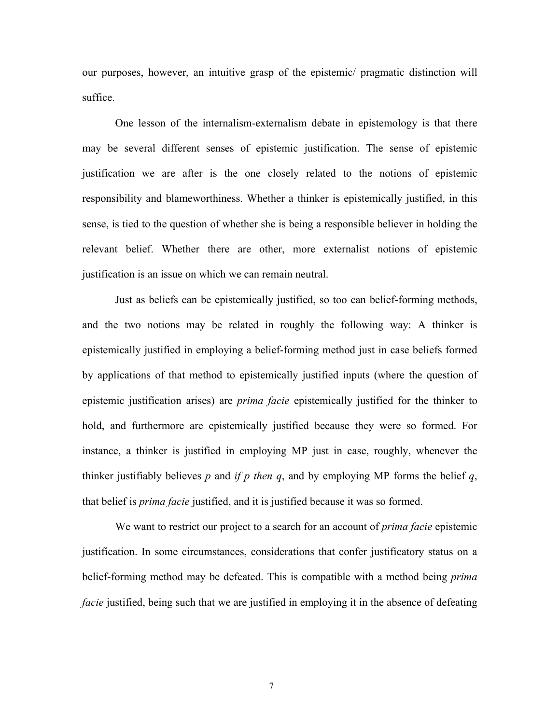our purposes, however, an intuitive grasp of the epistemic/ pragmatic distinction will suffice.

One lesson of the internalism-externalism debate in epistemology is that there may be several different senses of epistemic justification. The sense of epistemic justification we are after is the one closely related to the notions of epistemic responsibility and blameworthiness. Whether a thinker is epistemically justified, in this sense, is tied to the question of whether she is being a responsible believer in holding the relevant belief. Whether there are other, more externalist notions of epistemic justification is an issue on which we can remain neutral.

Just as beliefs can be epistemically justified, so too can belief-forming methods, and the two notions may be related in roughly the following way: A thinker is epistemically justified in employing a belief-forming method just in case beliefs formed by applications of that method to epistemically justified inputs (where the question of epistemic justification arises) are *prima facie* epistemically justified for the thinker to hold, and furthermore are epistemically justified because they were so formed. For instance, a thinker is justified in employing MP just in case, roughly, whenever the thinker justifiably believes *p* and *if p then q*, and by employing MP forms the belief *q*, that belief is *prima facie* justified, and it is justified because it was so formed.

We want to restrict our project to a search for an account of *prima facie* epistemic justification. In some circumstances, considerations that confer justificatory status on a belief-forming method may be defeated. This is compatible with a method being *prima facie* justified, being such that we are justified in employing it in the absence of defeating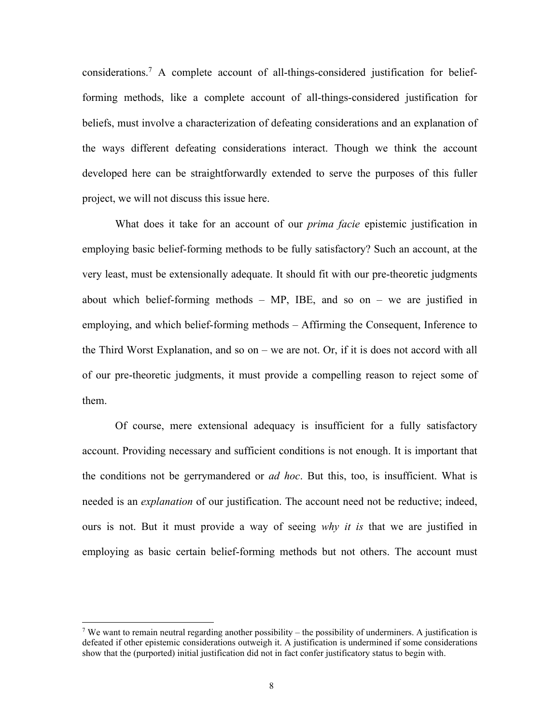considerations.<sup>7</sup> A complete account of all-things-considered justification for beliefforming methods, like a complete account of all-things-considered justification for beliefs, must involve a characterization of defeating considerations and an explanation of the ways different defeating considerations interact. Though we think the account developed here can be straightforwardly extended to serve the purposes of this fuller project, we will not discuss this issue here.

What does it take for an account of our *prima facie* epistemic justification in employing basic belief-forming methods to be fully satisfactory? Such an account, at the very least, must be extensionally adequate. It should fit with our pre-theoretic judgments about which belief-forming methods – MP, IBE, and so on – we are justified in employing, and which belief-forming methods – Affirming the Consequent, Inference to the Third Worst Explanation, and so on – we are not. Or, if it is does not accord with all of our pre-theoretic judgments, it must provide a compelling reason to reject some of them.

Of course, mere extensional adequacy is insufficient for a fully satisfactory account. Providing necessary and sufficient conditions is not enough. It is important that the conditions not be gerrymandered or *ad hoc*. But this, too, is insufficient. What is needed is an *explanation* of our justification. The account need not be reductive; indeed, ours is not. But it must provide a way of seeing *why it is* that we are justified in employing as basic certain belief-forming methods but not others. The account must

<sup>&</sup>lt;sup>7</sup> We want to remain neutral regarding another possibility – the possibility of underminers. A justification is defeated if other epistemic considerations outweigh it. A justification is undermined if some considerations show that the (purported) initial justification did not in fact confer justificatory status to begin with.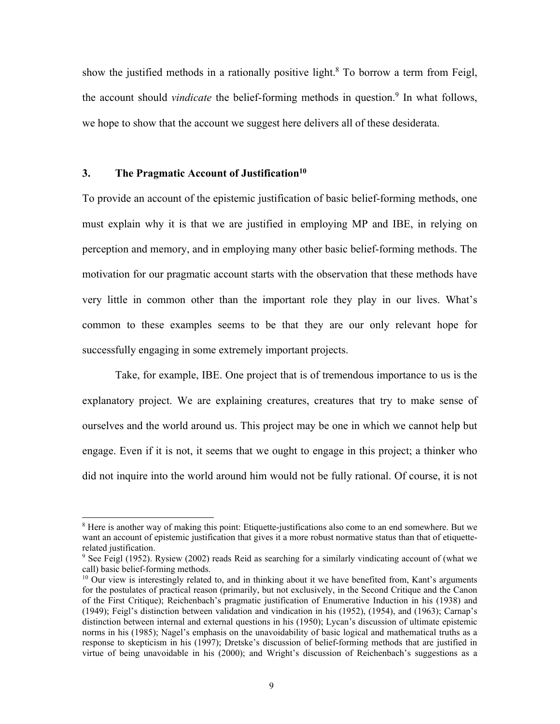show the justified methods in a rationally positive light.<sup>8</sup> To borrow a term from Feigl, the account should *vindicate* the belief-forming methods in question.<sup>9</sup> In what follows, we hope to show that the account we suggest here delivers all of these desiderata.

## **3. The Pragmatic Account of Justification10**

To provide an account of the epistemic justification of basic belief-forming methods, one must explain why it is that we are justified in employing MP and IBE, in relying on perception and memory, and in employing many other basic belief-forming methods. The motivation for our pragmatic account starts with the observation that these methods have very little in common other than the important role they play in our lives. What's common to these examples seems to be that they are our only relevant hope for successfully engaging in some extremely important projects.

 Take, for example, IBE. One project that is of tremendous importance to us is the explanatory project. We are explaining creatures, creatures that try to make sense of ourselves and the world around us. This project may be one in which we cannot help but engage. Even if it is not, it seems that we ought to engage in this project; a thinker who did not inquire into the world around him would not be fully rational. Of course, it is not

<sup>&</sup>lt;sup>8</sup> Here is another way of making this point: Etiquette-justifications also come to an end somewhere. But we want an account of epistemic justification that gives it a more robust normative status than that of etiquetterelated justification.

<sup>9</sup> See Feigl (1952). Rysiew (2002) reads Reid as searching for a similarly vindicating account of (what we call) basic belief-forming methods.

 $10$  Our view is interestingly related to, and in thinking about it we have benefited from, Kant's arguments for the postulates of practical reason (primarily, but not exclusively, in the Second Critique and the Canon of the First Critique); Reichenbach's pragmatic justification of Enumerative Induction in his (1938) and (1949); Feigl's distinction between validation and vindication in his (1952), (1954), and (1963); Carnap's distinction between internal and external questions in his (1950); Lycan's discussion of ultimate epistemic norms in his (1985); Nagel's emphasis on the unavoidability of basic logical and mathematical truths as a response to skepticism in his (1997); Dretske's discussion of belief-forming methods that are justified in virtue of being unavoidable in his (2000); and Wright's discussion of Reichenbach's suggestions as a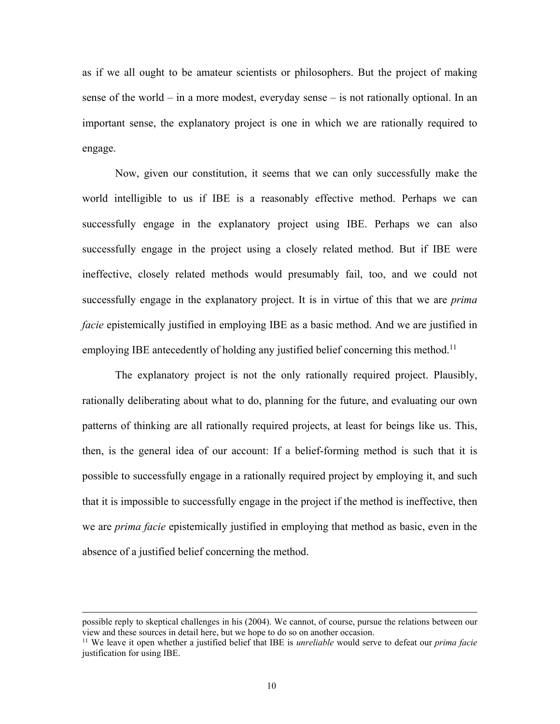as if we all ought to be amateur scientists or philosophers. But the project of making sense of the world – in a more modest, everyday sense – is not rationally optional. In an important sense, the explanatory project is one in which we are rationally required to engage.

 Now, given our constitution, it seems that we can only successfully make the world intelligible to us if IBE is a reasonably effective method. Perhaps we can successfully engage in the explanatory project using IBE. Perhaps we can also successfully engage in the project using a closely related method. But if IBE were ineffective, closely related methods would presumably fail, too, and we could not successfully engage in the explanatory project. It is in virtue of this that we are *prima facie* epistemically justified in employing IBE as a basic method. And we are justified in employing IBE antecedently of holding any justified belief concerning this method.<sup>11</sup>

The explanatory project is not the only rationally required project. Plausibly, rationally deliberating about what to do, planning for the future, and evaluating our own patterns of thinking are all rationally required projects, at least for beings like us. This, then, is the general idea of our account: If a belief-forming method is such that it is possible to successfully engage in a rationally required project by employing it, and such that it is impossible to successfully engage in the project if the method is ineffective, then we are *prima facie* epistemically justified in employing that method as basic, even in the absence of a justified belief concerning the method.

possible reply to skeptical challenges in his (2004). We cannot, of course, pursue the relations between our view and these sources in detail here, but we hope to do so on another occasion.

<sup>11</sup> We leave it open whether a justified belief that IBE is *unreliable* would serve to defeat our *prima facie* justification for using IBE.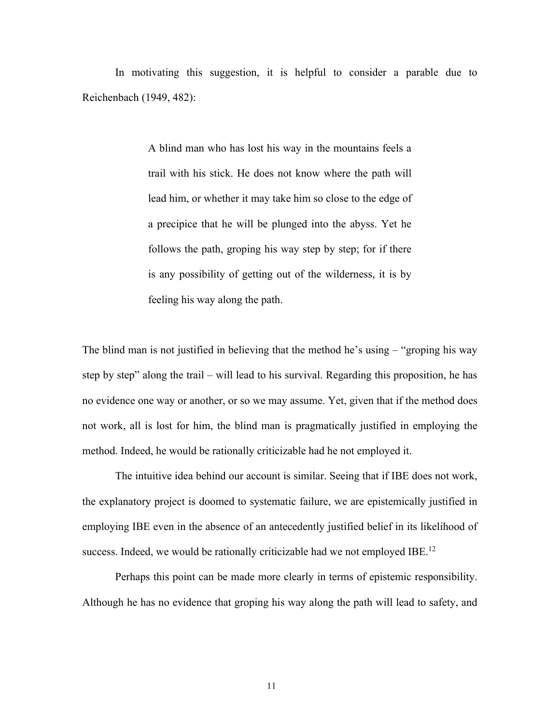In motivating this suggestion, it is helpful to consider a parable due to Reichenbach (1949, 482):

> A blind man who has lost his way in the mountains feels a trail with his stick. He does not know where the path will lead him, or whether it may take him so close to the edge of a precipice that he will be plunged into the abyss. Yet he follows the path, groping his way step by step; for if there is any possibility of getting out of the wilderness, it is by feeling his way along the path.

The blind man is not justified in believing that the method he's using – "groping his way step by step" along the trail – will lead to his survival. Regarding this proposition, he has no evidence one way or another, or so we may assume. Yet, given that if the method does not work, all is lost for him, the blind man is pragmatically justified in employing the method. Indeed, he would be rationally criticizable had he not employed it.

The intuitive idea behind our account is similar. Seeing that if IBE does not work, the explanatory project is doomed to systematic failure, we are epistemically justified in employing IBE even in the absence of an antecedently justified belief in its likelihood of success. Indeed, we would be rationally criticizable had we not employed IBE.<sup>12</sup>

Perhaps this point can be made more clearly in terms of epistemic responsibility. Although he has no evidence that groping his way along the path will lead to safety, and

11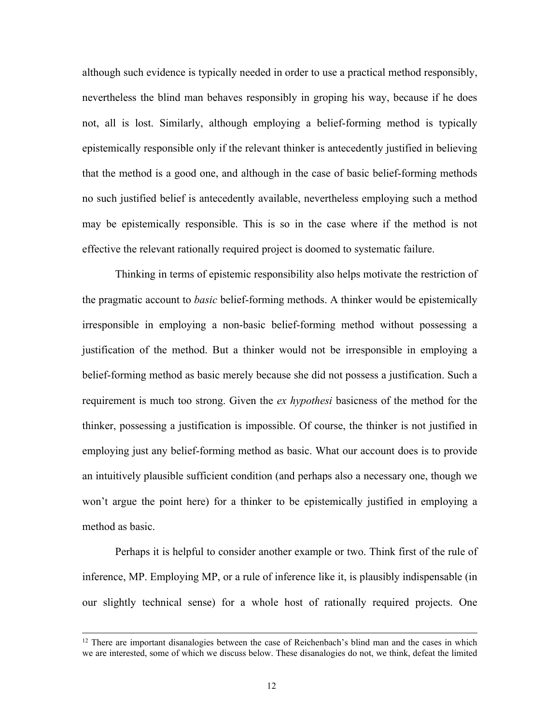although such evidence is typically needed in order to use a practical method responsibly, nevertheless the blind man behaves responsibly in groping his way, because if he does not, all is lost. Similarly, although employing a belief-forming method is typically epistemically responsible only if the relevant thinker is antecedently justified in believing that the method is a good one, and although in the case of basic belief-forming methods no such justified belief is antecedently available, nevertheless employing such a method may be epistemically responsible. This is so in the case where if the method is not effective the relevant rationally required project is doomed to systematic failure.

Thinking in terms of epistemic responsibility also helps motivate the restriction of the pragmatic account to *basic* belief-forming methods. A thinker would be epistemically irresponsible in employing a non-basic belief-forming method without possessing a justification of the method. But a thinker would not be irresponsible in employing a belief-forming method as basic merely because she did not possess a justification. Such a requirement is much too strong. Given the *ex hypothesi* basicness of the method for the thinker, possessing a justification is impossible. Of course, the thinker is not justified in employing just any belief-forming method as basic. What our account does is to provide an intuitively plausible sufficient condition (and perhaps also a necessary one, though we won't argue the point here) for a thinker to be epistemically justified in employing a method as basic.

Perhaps it is helpful to consider another example or two. Think first of the rule of inference, MP. Employing MP, or a rule of inference like it, is plausibly indispensable (in our slightly technical sense) for a whole host of rationally required projects. One

<sup>&</sup>lt;sup>12</sup> There are important disanalogies between the case of Reichenbach's blind man and the cases in which we are interested, some of which we discuss below. These disanalogies do not, we think, defeat the limited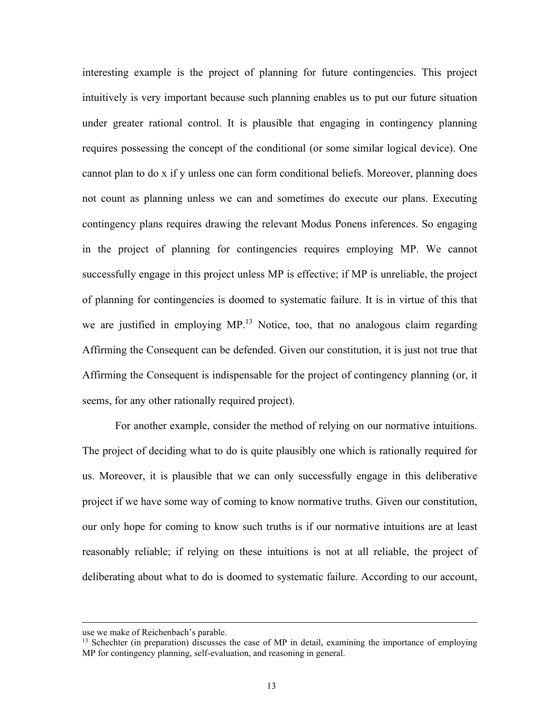interesting example is the project of planning for future contingencies. This project intuitively is very important because such planning enables us to put our future situation under greater rational control. It is plausible that engaging in contingency planning requires possessing the concept of the conditional (or some similar logical device). One cannot plan to do x if y unless one can form conditional beliefs. Moreover, planning does not count as planning unless we can and sometimes do execute our plans. Executing contingency plans requires drawing the relevant Modus Ponens inferences. So engaging in the project of planning for contingencies requires employing MP. We cannot successfully engage in this project unless MP is effective; if MP is unreliable, the project of planning for contingencies is doomed to systematic failure. It is in virtue of this that we are justified in employing  $MP<sup>13</sup>$  Notice, too, that no analogous claim regarding Affirming the Consequent can be defended. Given our constitution, it is just not true that Affirming the Consequent is indispensable for the project of contingency planning (or, it seems, for any other rationally required project).

 For another example, consider the method of relying on our normative intuitions. The project of deciding what to do is quite plausibly one which is rationally required for us. Moreover, it is plausible that we can only successfully engage in this deliberative project if we have some way of coming to know normative truths. Given our constitution, our only hope for coming to know such truths is if our normative intuitions are at least reasonably reliable; if relying on these intuitions is not at all reliable, the project of deliberating about what to do is doomed to systematic failure. According to our account,

use we make of Reichenbach's parable.

<sup>&</sup>lt;sup>13</sup> Schechter (in preparation) discusses the case of MP in detail, examining the importance of employing MP for contingency planning, self-evaluation, and reasoning in general.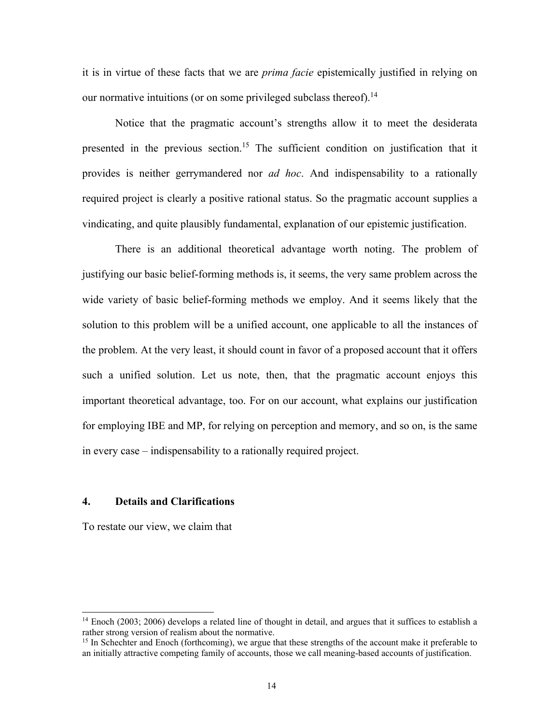it is in virtue of these facts that we are *prima facie* epistemically justified in relying on our normative intuitions (or on some privileged subclass thereof).<sup>14</sup>

Notice that the pragmatic account's strengths allow it to meet the desiderata presented in the previous section.<sup>15</sup> The sufficient condition on justification that it provides is neither gerrymandered nor *ad hoc*. And indispensability to a rationally required project is clearly a positive rational status. So the pragmatic account supplies a vindicating, and quite plausibly fundamental, explanation of our epistemic justification.

There is an additional theoretical advantage worth noting. The problem of justifying our basic belief-forming methods is, it seems, the very same problem across the wide variety of basic belief-forming methods we employ. And it seems likely that the solution to this problem will be a unified account, one applicable to all the instances of the problem. At the very least, it should count in favor of a proposed account that it offers such a unified solution. Let us note, then, that the pragmatic account enjoys this important theoretical advantage, too. For on our account, what explains our justification for employing IBE and MP, for relying on perception and memory, and so on, is the same in every case – indispensability to a rationally required project.

### **4. Details and Clarifications**

To restate our view, we claim that

<sup>&</sup>lt;sup>14</sup> Enoch (2003; 2006) develops a related line of thought in detail, and argues that it suffices to establish a rather strong version of realism about the normative.

<sup>&</sup>lt;sup>15</sup> In Schechter and Enoch (forthcoming), we argue that these strengths of the account make it preferable to an initially attractive competing family of accounts, those we call meaning-based accounts of justification.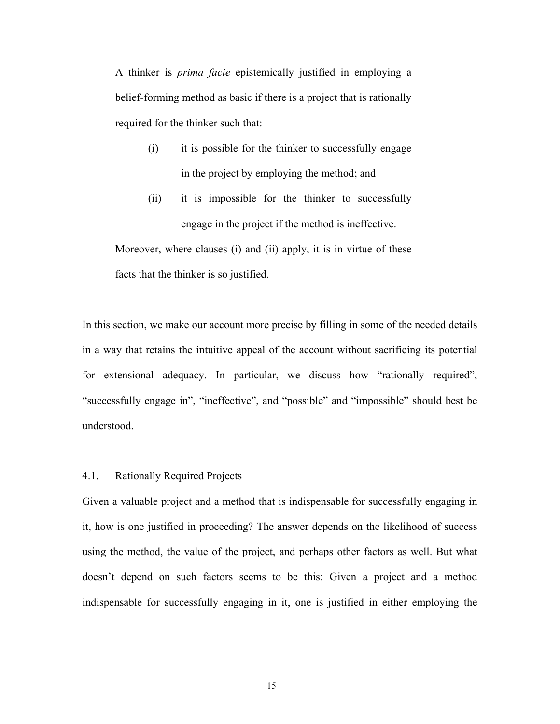A thinker is *prima facie* epistemically justified in employing a belief-forming method as basic if there is a project that is rationally required for the thinker such that:

- (i) it is possible for the thinker to successfully engage in the project by employing the method; and
- (ii) it is impossible for the thinker to successfully engage in the project if the method is ineffective.

Moreover, where clauses (i) and (ii) apply, it is in virtue of these facts that the thinker is so justified.

In this section, we make our account more precise by filling in some of the needed details in a way that retains the intuitive appeal of the account without sacrificing its potential for extensional adequacy. In particular, we discuss how "rationally required", "successfully engage in", "ineffective", and "possible" and "impossible" should best be understood.

### 4.1. Rationally Required Projects

Given a valuable project and a method that is indispensable for successfully engaging in it, how is one justified in proceeding? The answer depends on the likelihood of success using the method, the value of the project, and perhaps other factors as well. But what doesn't depend on such factors seems to be this: Given a project and a method indispensable for successfully engaging in it, one is justified in either employing the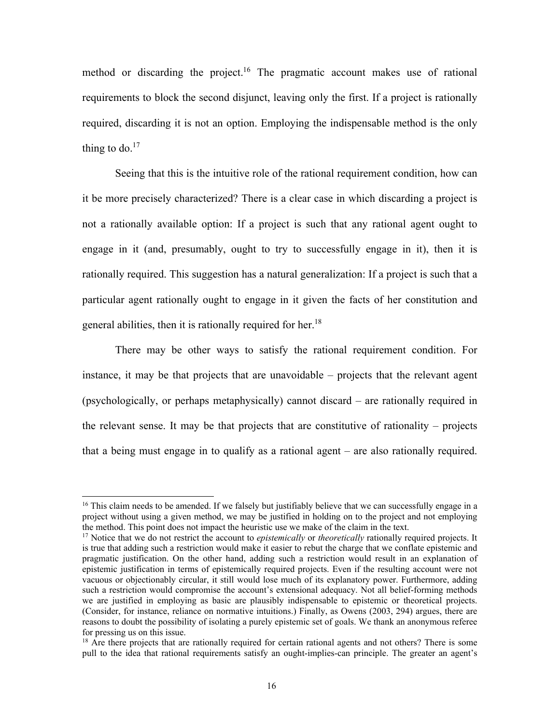method or discarding the project.<sup>16</sup> The pragmatic account makes use of rational requirements to block the second disjunct, leaving only the first. If a project is rationally required, discarding it is not an option. Employing the indispensable method is the only thing to  $do.<sup>17</sup>$ 

Seeing that this is the intuitive role of the rational requirement condition, how can it be more precisely characterized? There is a clear case in which discarding a project is not a rationally available option: If a project is such that any rational agent ought to engage in it (and, presumably, ought to try to successfully engage in it), then it is rationally required. This suggestion has a natural generalization: If a project is such that a particular agent rationally ought to engage in it given the facts of her constitution and general abilities, then it is rationally required for her.<sup>18</sup>

 There may be other ways to satisfy the rational requirement condition. For instance, it may be that projects that are unavoidable – projects that the relevant agent (psychologically, or perhaps metaphysically) cannot discard – are rationally required in the relevant sense. It may be that projects that are constitutive of rationality – projects that a being must engage in to qualify as a rational agent – are also rationally required.

 $16$  This claim needs to be amended. If we falsely but justifiably believe that we can successfully engage in a project without using a given method, we may be justified in holding on to the project and not employing the method. This point does not impact the heuristic use we make of the claim in the text.

<sup>&</sup>lt;sup>17</sup> Notice that we do not restrict the account to *epistemically* or *theoretically* rationally required projects. It is true that adding such a restriction would make it easier to rebut the charge that we conflate epistemic and pragmatic justification. On the other hand, adding such a restriction would result in an explanation of epistemic justification in terms of epistemically required projects. Even if the resulting account were not vacuous or objectionably circular, it still would lose much of its explanatory power. Furthermore, adding such a restriction would compromise the account's extensional adequacy. Not all belief-forming methods we are justified in employing as basic are plausibly indispensable to epistemic or theoretical projects. (Consider, for instance, reliance on normative intuitions.) Finally, as Owens (2003, 294) argues, there are reasons to doubt the possibility of isolating a purely epistemic set of goals. We thank an anonymous referee for pressing us on this issue.

<sup>&</sup>lt;sup>18</sup> Are there projects that are rationally required for certain rational agents and not others? There is some pull to the idea that rational requirements satisfy an ought-implies-can principle. The greater an agent's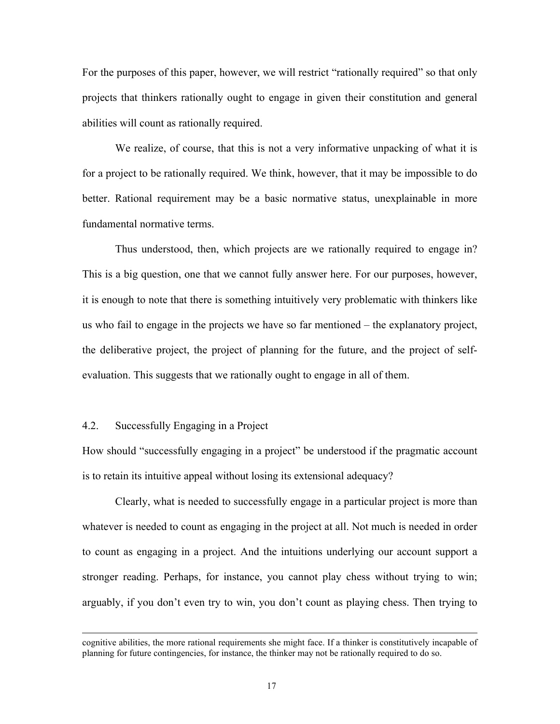For the purposes of this paper, however, we will restrict "rationally required" so that only projects that thinkers rationally ought to engage in given their constitution and general abilities will count as rationally required.

We realize, of course, that this is not a very informative unpacking of what it is for a project to be rationally required. We think, however, that it may be impossible to do better. Rational requirement may be a basic normative status, unexplainable in more fundamental normative terms.

 Thus understood, then, which projects are we rationally required to engage in? This is a big question, one that we cannot fully answer here. For our purposes, however, it is enough to note that there is something intuitively very problematic with thinkers like us who fail to engage in the projects we have so far mentioned – the explanatory project, the deliberative project, the project of planning for the future, and the project of selfevaluation. This suggests that we rationally ought to engage in all of them.

## 4.2. Successfully Engaging in a Project

How should "successfully engaging in a project" be understood if the pragmatic account is to retain its intuitive appeal without losing its extensional adequacy?

 Clearly, what is needed to successfully engage in a particular project is more than whatever is needed to count as engaging in the project at all. Not much is needed in order to count as engaging in a project. And the intuitions underlying our account support a stronger reading. Perhaps, for instance, you cannot play chess without trying to win; arguably, if you don't even try to win, you don't count as playing chess. Then trying to

cognitive abilities, the more rational requirements she might face. If a thinker is constitutively incapable of planning for future contingencies, for instance, the thinker may not be rationally required to do so.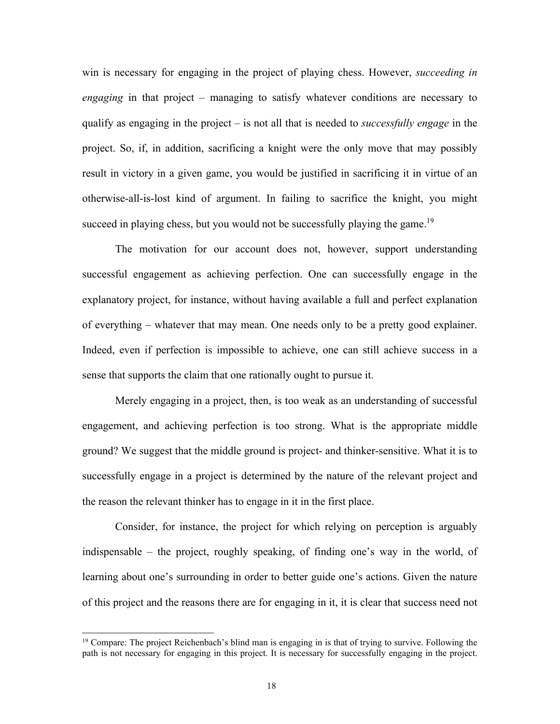win is necessary for engaging in the project of playing chess. However, *succeeding in engaging* in that project – managing to satisfy whatever conditions are necessary to qualify as engaging in the project – is not all that is needed to *successfully engage* in the project. So, if, in addition, sacrificing a knight were the only move that may possibly result in victory in a given game, you would be justified in sacrificing it in virtue of an otherwise-all-is-lost kind of argument. In failing to sacrifice the knight, you might succeed in playing chess, but you would not be successfully playing the game.<sup>19</sup>

 The motivation for our account does not, however, support understanding successful engagement as achieving perfection. One can successfully engage in the explanatory project, for instance, without having available a full and perfect explanation of everything – whatever that may mean. One needs only to be a pretty good explainer. Indeed, even if perfection is impossible to achieve, one can still achieve success in a sense that supports the claim that one rationally ought to pursue it.

 Merely engaging in a project, then, is too weak as an understanding of successful engagement, and achieving perfection is too strong. What is the appropriate middle ground? We suggest that the middle ground is project- and thinker-sensitive. What it is to successfully engage in a project is determined by the nature of the relevant project and the reason the relevant thinker has to engage in it in the first place.

Consider, for instance, the project for which relying on perception is arguably indispensable – the project, roughly speaking, of finding one's way in the world, of learning about one's surrounding in order to better guide one's actions. Given the nature of this project and the reasons there are for engaging in it, it is clear that success need not

<sup>&</sup>lt;sup>19</sup> Compare: The project Reichenbach's blind man is engaging in is that of trying to survive. Following the path is not necessary for engaging in this project. It is necessary for successfully engaging in the project.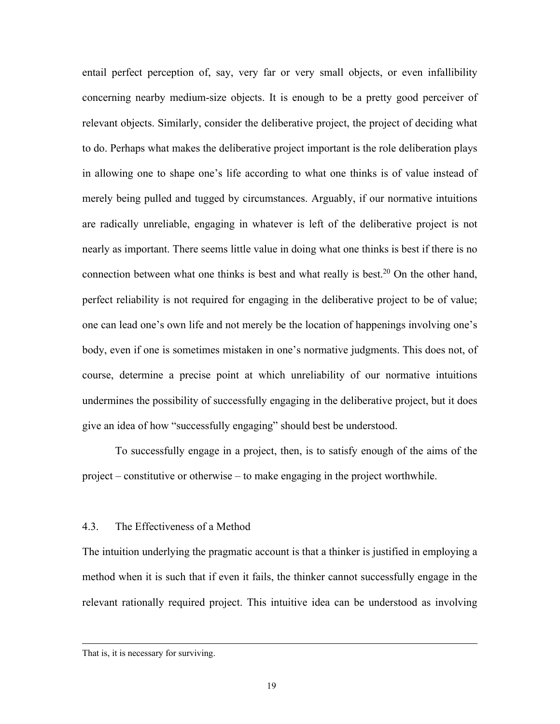entail perfect perception of, say, very far or very small objects, or even infallibility concerning nearby medium-size objects. It is enough to be a pretty good perceiver of relevant objects. Similarly, consider the deliberative project, the project of deciding what to do. Perhaps what makes the deliberative project important is the role deliberation plays in allowing one to shape one's life according to what one thinks is of value instead of merely being pulled and tugged by circumstances. Arguably, if our normative intuitions are radically unreliable, engaging in whatever is left of the deliberative project is not nearly as important. There seems little value in doing what one thinks is best if there is no connection between what one thinks is best and what really is best.<sup>20</sup> On the other hand, perfect reliability is not required for engaging in the deliberative project to be of value; one can lead one's own life and not merely be the location of happenings involving one's body, even if one is sometimes mistaken in one's normative judgments. This does not, of course, determine a precise point at which unreliability of our normative intuitions undermines the possibility of successfully engaging in the deliberative project, but it does give an idea of how "successfully engaging" should best be understood.

 To successfully engage in a project, then, is to satisfy enough of the aims of the project – constitutive or otherwise – to make engaging in the project worthwhile.

#### 4.3. The Effectiveness of a Method

The intuition underlying the pragmatic account is that a thinker is justified in employing a method when it is such that if even it fails, the thinker cannot successfully engage in the relevant rationally required project. This intuitive idea can be understood as involving

That is, it is necessary for surviving.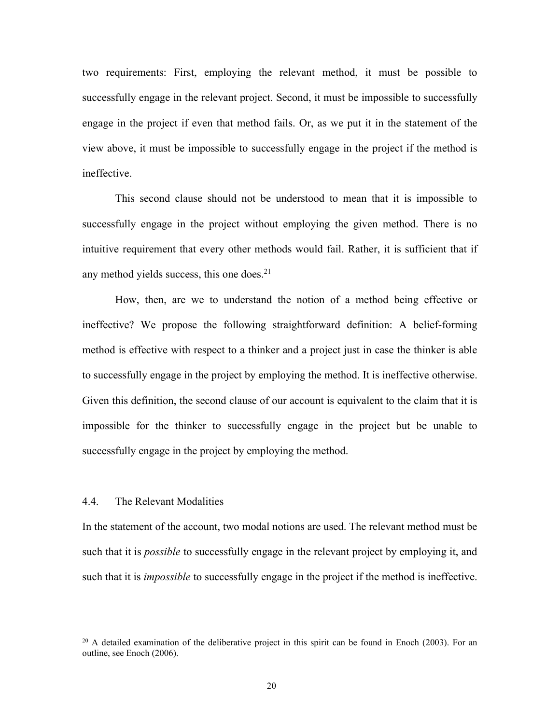two requirements: First, employing the relevant method, it must be possible to successfully engage in the relevant project. Second, it must be impossible to successfully engage in the project if even that method fails. Or, as we put it in the statement of the view above, it must be impossible to successfully engage in the project if the method is ineffective.

 This second clause should not be understood to mean that it is impossible to successfully engage in the project without employing the given method. There is no intuitive requirement that every other methods would fail. Rather, it is sufficient that if any method yields success, this one does.<sup>21</sup>

How, then, are we to understand the notion of a method being effective or ineffective? We propose the following straightforward definition: A belief-forming method is effective with respect to a thinker and a project just in case the thinker is able to successfully engage in the project by employing the method. It is ineffective otherwise. Given this definition, the second clause of our account is equivalent to the claim that it is impossible for the thinker to successfully engage in the project but be unable to successfully engage in the project by employing the method.

### 4.4. The Relevant Modalities

In the statement of the account, two modal notions are used. The relevant method must be such that it is *possible* to successfully engage in the relevant project by employing it, and such that it is *impossible* to successfully engage in the project if the method is ineffective.

 $20$  A detailed examination of the deliberative project in this spirit can be found in Enoch (2003). For an outline, see Enoch (2006).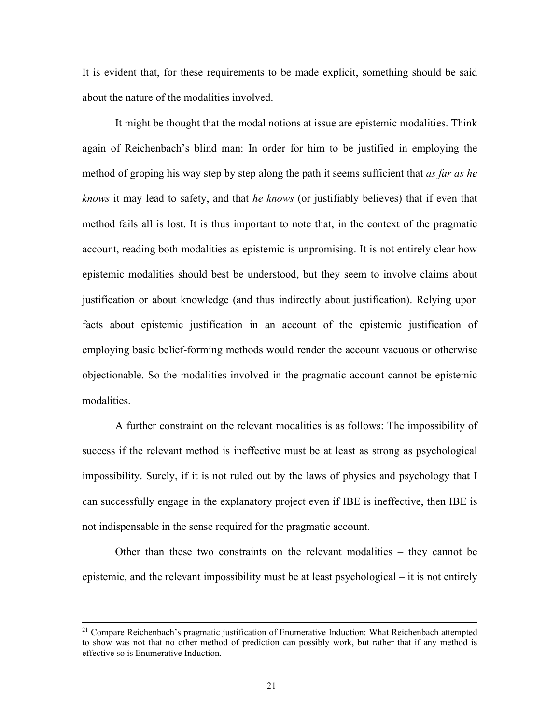It is evident that, for these requirements to be made explicit, something should be said about the nature of the modalities involved.

 It might be thought that the modal notions at issue are epistemic modalities. Think again of Reichenbach's blind man: In order for him to be justified in employing the method of groping his way step by step along the path it seems sufficient that *as far as he knows* it may lead to safety, and that *he knows* (or justifiably believes) that if even that method fails all is lost. It is thus important to note that, in the context of the pragmatic account, reading both modalities as epistemic is unpromising. It is not entirely clear how epistemic modalities should best be understood, but they seem to involve claims about justification or about knowledge (and thus indirectly about justification). Relying upon facts about epistemic justification in an account of the epistemic justification of employing basic belief-forming methods would render the account vacuous or otherwise objectionable. So the modalities involved in the pragmatic account cannot be epistemic modalities.

 A further constraint on the relevant modalities is as follows: The impossibility of success if the relevant method is ineffective must be at least as strong as psychological impossibility. Surely, if it is not ruled out by the laws of physics and psychology that I can successfully engage in the explanatory project even if IBE is ineffective, then IBE is not indispensable in the sense required for the pragmatic account.

 Other than these two constraints on the relevant modalities – they cannot be epistemic, and the relevant impossibility must be at least psychological – it is not entirely

<sup>&</sup>lt;sup>21</sup> Compare Reichenbach's pragmatic justification of Enumerative Induction: What Reichenbach attempted to show was not that no other method of prediction can possibly work, but rather that if any method is effective so is Enumerative Induction.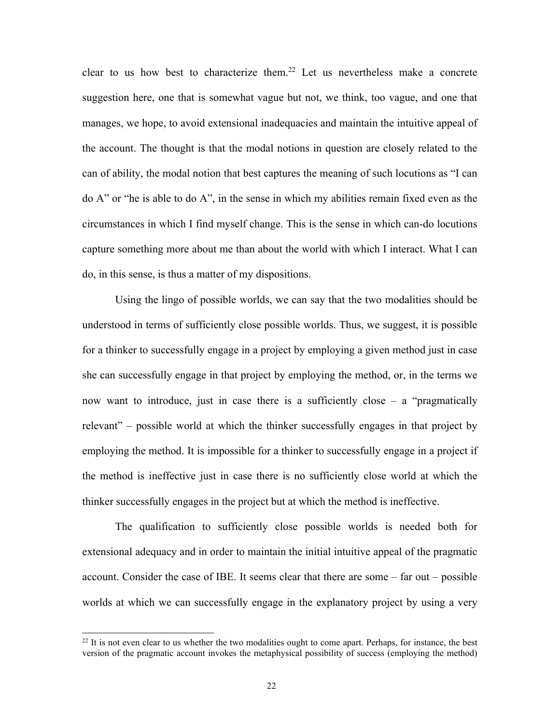clear to us how best to characterize them.22 Let us nevertheless make a concrete suggestion here, one that is somewhat vague but not, we think, too vague, and one that manages, we hope, to avoid extensional inadequacies and maintain the intuitive appeal of the account. The thought is that the modal notions in question are closely related to the can of ability, the modal notion that best captures the meaning of such locutions as "I can do A" or "he is able to do A", in the sense in which my abilities remain fixed even as the circumstances in which I find myself change. This is the sense in which can-do locutions capture something more about me than about the world with which I interact. What I can do, in this sense, is thus a matter of my dispositions.

Using the lingo of possible worlds, we can say that the two modalities should be understood in terms of sufficiently close possible worlds. Thus, we suggest, it is possible for a thinker to successfully engage in a project by employing a given method just in case she can successfully engage in that project by employing the method, or, in the terms we now want to introduce, just in case there is a sufficiently close – a "pragmatically relevant" – possible world at which the thinker successfully engages in that project by employing the method. It is impossible for a thinker to successfully engage in a project if the method is ineffective just in case there is no sufficiently close world at which the thinker successfully engages in the project but at which the method is ineffective.

The qualification to sufficiently close possible worlds is needed both for extensional adequacy and in order to maintain the initial intuitive appeal of the pragmatic account. Consider the case of IBE. It seems clear that there are some – far out – possible worlds at which we can successfully engage in the explanatory project by using a very

<sup>&</sup>lt;sup>22</sup> It is not even clear to us whether the two modalities ought to come apart. Perhaps, for instance, the best version of the pragmatic account invokes the metaphysical possibility of success (employing the method)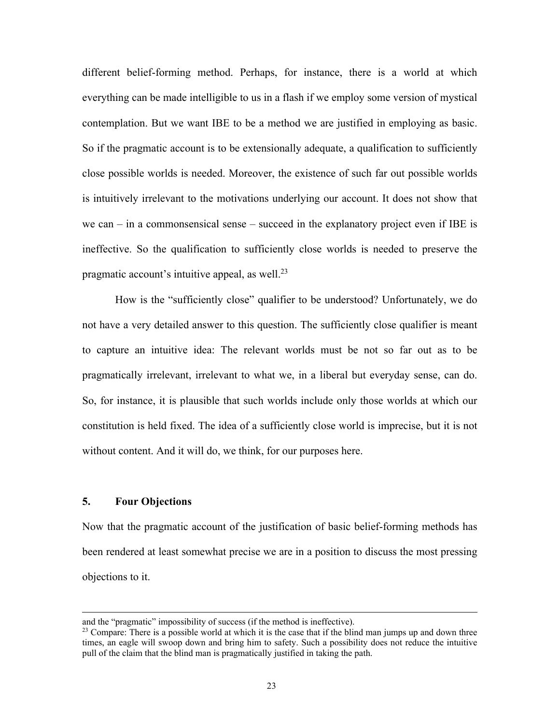different belief-forming method. Perhaps, for instance, there is a world at which everything can be made intelligible to us in a flash if we employ some version of mystical contemplation. But we want IBE to be a method we are justified in employing as basic. So if the pragmatic account is to be extensionally adequate, a qualification to sufficiently close possible worlds is needed. Moreover, the existence of such far out possible worlds is intuitively irrelevant to the motivations underlying our account. It does not show that we can – in a commonsensical sense – succeed in the explanatory project even if IBE is ineffective. So the qualification to sufficiently close worlds is needed to preserve the pragmatic account's intuitive appeal, as well.<sup>23</sup>

How is the "sufficiently close" qualifier to be understood? Unfortunately, we do not have a very detailed answer to this question. The sufficiently close qualifier is meant to capture an intuitive idea: The relevant worlds must be not so far out as to be pragmatically irrelevant, irrelevant to what we, in a liberal but everyday sense, can do. So, for instance, it is plausible that such worlds include only those worlds at which our constitution is held fixed. The idea of a sufficiently close world is imprecise, but it is not without content. And it will do, we think, for our purposes here.

### **5. Four Objections**

Now that the pragmatic account of the justification of basic belief-forming methods has been rendered at least somewhat precise we are in a position to discuss the most pressing objections to it.

and the "pragmatic" impossibility of success (if the method is ineffective).<br><sup>23</sup> Compare: There is a possible world at which it is the case that if the blind man jumps up and down three times, an eagle will swoop down and bring him to safety. Such a possibility does not reduce the intuitive pull of the claim that the blind man is pragmatically justified in taking the path.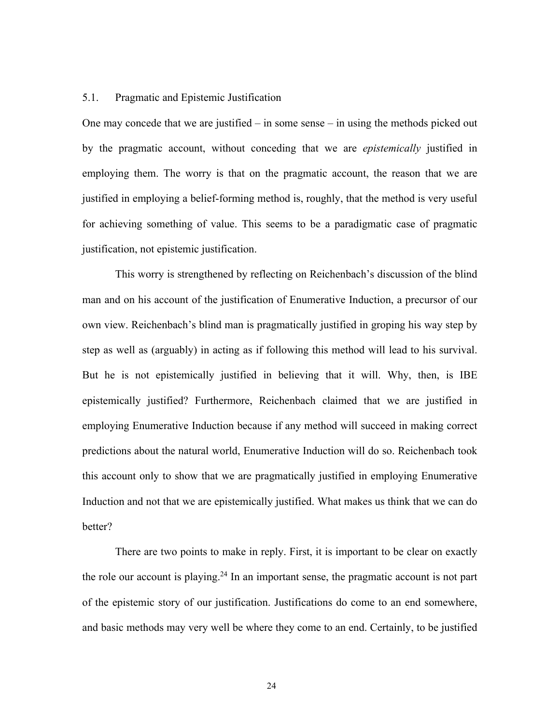### 5.1. Pragmatic and Epistemic Justification

One may concede that we are justified  $-$  in some sense  $-$  in using the methods picked out by the pragmatic account, without conceding that we are *epistemically* justified in employing them. The worry is that on the pragmatic account, the reason that we are justified in employing a belief-forming method is, roughly, that the method is very useful for achieving something of value. This seems to be a paradigmatic case of pragmatic justification, not epistemic justification.

This worry is strengthened by reflecting on Reichenbach's discussion of the blind man and on his account of the justification of Enumerative Induction, a precursor of our own view. Reichenbach's blind man is pragmatically justified in groping his way step by step as well as (arguably) in acting as if following this method will lead to his survival. But he is not epistemically justified in believing that it will. Why, then, is IBE epistemically justified? Furthermore, Reichenbach claimed that we are justified in employing Enumerative Induction because if any method will succeed in making correct predictions about the natural world, Enumerative Induction will do so. Reichenbach took this account only to show that we are pragmatically justified in employing Enumerative Induction and not that we are epistemically justified. What makes us think that we can do better?

There are two points to make in reply. First, it is important to be clear on exactly the role our account is playing.<sup>24</sup> In an important sense, the pragmatic account is not part of the epistemic story of our justification. Justifications do come to an end somewhere, and basic methods may very well be where they come to an end. Certainly, to be justified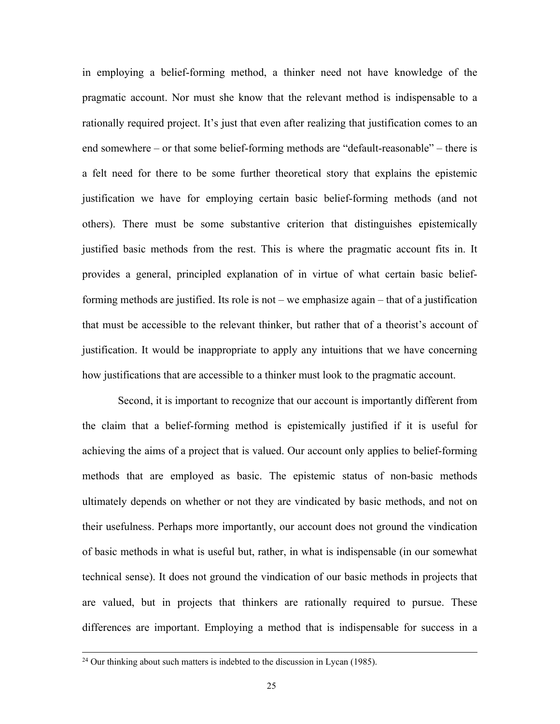in employing a belief-forming method, a thinker need not have knowledge of the pragmatic account. Nor must she know that the relevant method is indispensable to a rationally required project. It's just that even after realizing that justification comes to an end somewhere – or that some belief-forming methods are "default-reasonable" – there is a felt need for there to be some further theoretical story that explains the epistemic justification we have for employing certain basic belief-forming methods (and not others). There must be some substantive criterion that distinguishes epistemically justified basic methods from the rest. This is where the pragmatic account fits in. It provides a general, principled explanation of in virtue of what certain basic beliefforming methods are justified. Its role is not – we emphasize again – that of a justification that must be accessible to the relevant thinker, but rather that of a theorist's account of justification. It would be inappropriate to apply any intuitions that we have concerning how justifications that are accessible to a thinker must look to the pragmatic account.

 Second, it is important to recognize that our account is importantly different from the claim that a belief-forming method is epistemically justified if it is useful for achieving the aims of a project that is valued. Our account only applies to belief-forming methods that are employed as basic. The epistemic status of non-basic methods ultimately depends on whether or not they are vindicated by basic methods, and not on their usefulness. Perhaps more importantly, our account does not ground the vindication of basic methods in what is useful but, rather, in what is indispensable (in our somewhat technical sense). It does not ground the vindication of our basic methods in projects that are valued, but in projects that thinkers are rationally required to pursue. These differences are important. Employing a method that is indispensable for success in a

 $24$  Our thinking about such matters is indebted to the discussion in Lycan (1985).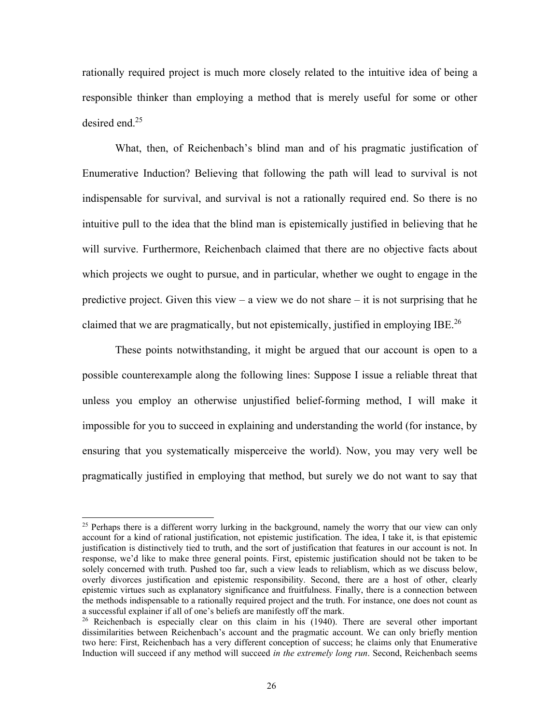rationally required project is much more closely related to the intuitive idea of being a responsible thinker than employing a method that is merely useful for some or other desired end.25

What, then, of Reichenbach's blind man and of his pragmatic justification of Enumerative Induction? Believing that following the path will lead to survival is not indispensable for survival, and survival is not a rationally required end. So there is no intuitive pull to the idea that the blind man is epistemically justified in believing that he will survive. Furthermore, Reichenbach claimed that there are no objective facts about which projects we ought to pursue, and in particular, whether we ought to engage in the predictive project. Given this view – a view we do not share – it is not surprising that he claimed that we are pragmatically, but not epistemically, justified in employing IBE.<sup>26</sup>

These points notwithstanding, it might be argued that our account is open to a possible counterexample along the following lines: Suppose I issue a reliable threat that unless you employ an otherwise unjustified belief-forming method, I will make it impossible for you to succeed in explaining and understanding the world (for instance, by ensuring that you systematically misperceive the world). Now, you may very well be pragmatically justified in employing that method, but surely we do not want to say that

 $25$  Perhaps there is a different worry lurking in the background, namely the worry that our view can only account for a kind of rational justification, not epistemic justification. The idea, I take it, is that epistemic justification is distinctively tied to truth, and the sort of justification that features in our account is not. In response, we'd like to make three general points. First, epistemic justification should not be taken to be solely concerned with truth. Pushed too far, such a view leads to reliablism, which as we discuss below, overly divorces justification and epistemic responsibility. Second, there are a host of other, clearly epistemic virtues such as explanatory significance and fruitfulness. Finally, there is a connection between the methods indispensable to a rationally required project and the truth. For instance, one does not count as a successful explainer if all of one's beliefs are manifestly off the mark.

<sup>&</sup>lt;sup>26</sup> Reichenbach is especially clear on this claim in his (1940). There are several other important dissimilarities between Reichenbach's account and the pragmatic account. We can only briefly mention two here: First, Reichenbach has a very different conception of success; he claims only that Enumerative Induction will succeed if any method will succeed *in the extremely long run*. Second, Reichenbach seems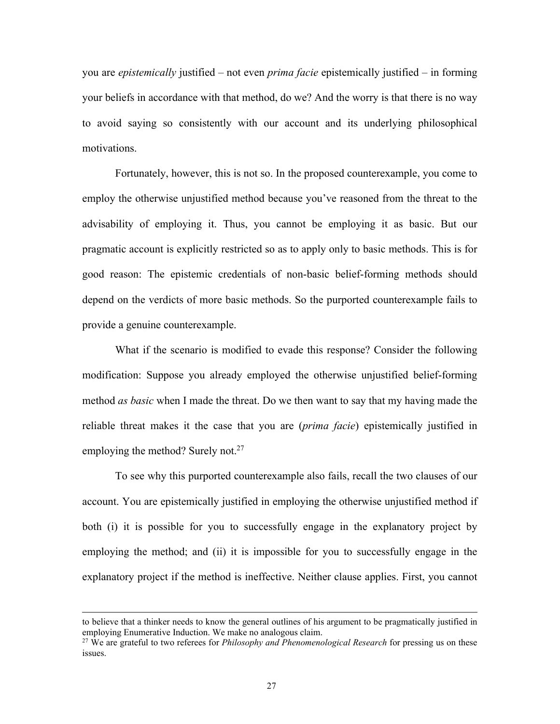you are *epistemically* justified – not even *prima facie* epistemically justified – in forming your beliefs in accordance with that method, do we? And the worry is that there is no way to avoid saying so consistently with our account and its underlying philosophical motivations.

Fortunately, however, this is not so. In the proposed counterexample, you come to employ the otherwise unjustified method because you've reasoned from the threat to the advisability of employing it. Thus, you cannot be employing it as basic. But our pragmatic account is explicitly restricted so as to apply only to basic methods. This is for good reason: The epistemic credentials of non-basic belief-forming methods should depend on the verdicts of more basic methods. So the purported counterexample fails to provide a genuine counterexample.

What if the scenario is modified to evade this response? Consider the following modification: Suppose you already employed the otherwise unjustified belief-forming method *as basic* when I made the threat. Do we then want to say that my having made the reliable threat makes it the case that you are (*prima facie*) epistemically justified in employing the method? Surely not.<sup>27</sup>

To see why this purported counterexample also fails, recall the two clauses of our account. You are epistemically justified in employing the otherwise unjustified method if both (i) it is possible for you to successfully engage in the explanatory project by employing the method; and (ii) it is impossible for you to successfully engage in the explanatory project if the method is ineffective. Neither clause applies. First, you cannot

to believe that a thinker needs to know the general outlines of his argument to be pragmatically justified in employing Enumerative Induction. We make no analogous claim.<br><sup>27</sup> We are grateful to two referees for *Philosophy and Phenomenological Research* for pressing us on these

issues.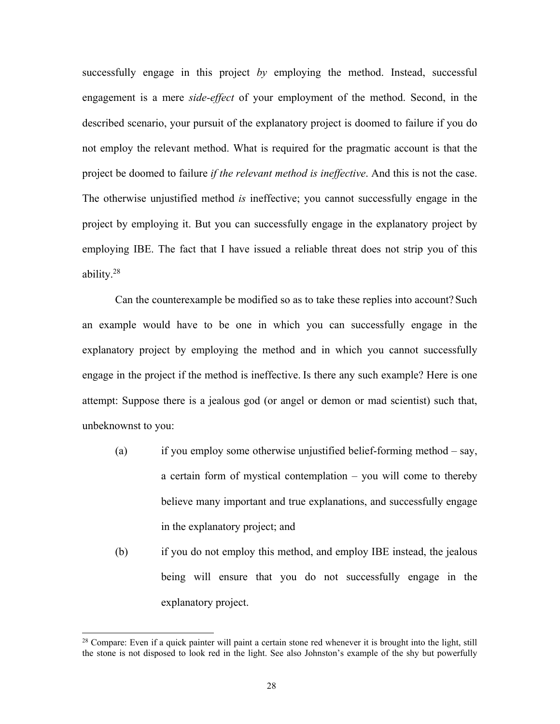successfully engage in this project *by* employing the method. Instead, successful engagement is a mere *side-effect* of your employment of the method. Second, in the described scenario, your pursuit of the explanatory project is doomed to failure if you do not employ the relevant method. What is required for the pragmatic account is that the project be doomed to failure *if the relevant method is ineffective*. And this is not the case. The otherwise unjustified method *is* ineffective; you cannot successfully engage in the project by employing it. But you can successfully engage in the explanatory project by employing IBE. The fact that I have issued a reliable threat does not strip you of this ability.28

Can the counterexample be modified so as to take these replies into account?Such an example would have to be one in which you can successfully engage in the explanatory project by employing the method and in which you cannot successfully engage in the project if the method is ineffective. Is there any such example? Here is one attempt: Suppose there is a jealous god (or angel or demon or mad scientist) such that, unbeknownst to you:

- (a) if you employ some otherwise unjustified belief-forming method say, a certain form of mystical contemplation – you will come to thereby believe many important and true explanations, and successfully engage in the explanatory project; and
- (b) if you do not employ this method, and employ IBE instead, the jealous being will ensure that you do not successfully engage in the explanatory project.

 $28$  Compare: Even if a quick painter will paint a certain stone red whenever it is brought into the light, still the stone is not disposed to look red in the light. See also Johnston's example of the shy but powerfully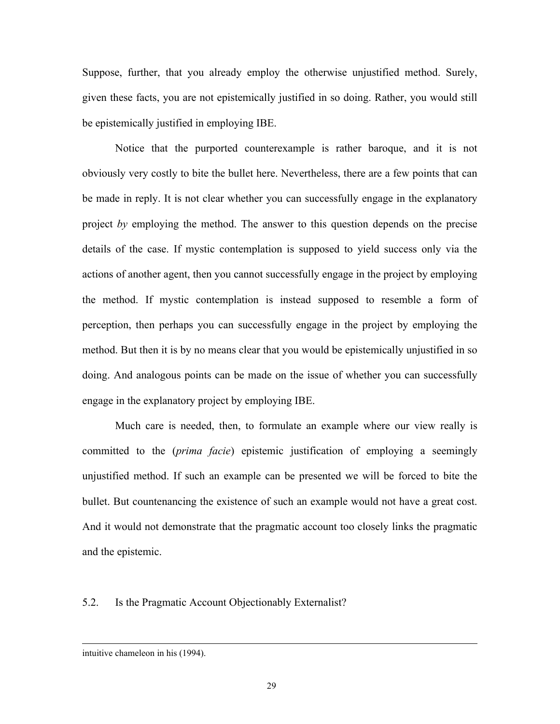Suppose, further, that you already employ the otherwise unjustified method. Surely, given these facts, you are not epistemically justified in so doing. Rather, you would still be epistemically justified in employing IBE.

 Notice that the purported counterexample is rather baroque, and it is not obviously very costly to bite the bullet here. Nevertheless, there are a few points that can be made in reply. It is not clear whether you can successfully engage in the explanatory project *by* employing the method. The answer to this question depends on the precise details of the case. If mystic contemplation is supposed to yield success only via the actions of another agent, then you cannot successfully engage in the project by employing the method. If mystic contemplation is instead supposed to resemble a form of perception, then perhaps you can successfully engage in the project by employing the method. But then it is by no means clear that you would be epistemically unjustified in so doing. And analogous points can be made on the issue of whether you can successfully engage in the explanatory project by employing IBE.

Much care is needed, then, to formulate an example where our view really is committed to the (*prima facie*) epistemic justification of employing a seemingly unjustified method. If such an example can be presented we will be forced to bite the bullet. But countenancing the existence of such an example would not have a great cost. And it would not demonstrate that the pragmatic account too closely links the pragmatic and the epistemic.

#### 5.2. Is the Pragmatic Account Objectionably Externalist?

intuitive chameleon in his (1994).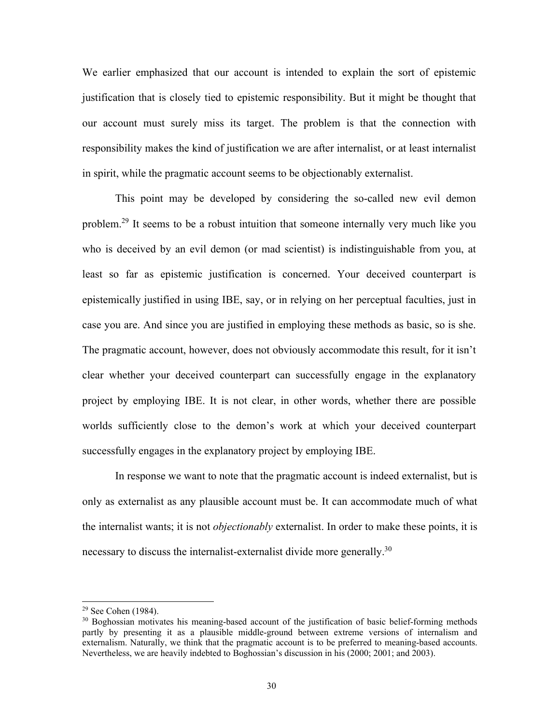We earlier emphasized that our account is intended to explain the sort of epistemic justification that is closely tied to epistemic responsibility. But it might be thought that our account must surely miss its target. The problem is that the connection with responsibility makes the kind of justification we are after internalist, or at least internalist in spirit, while the pragmatic account seems to be objectionably externalist.

This point may be developed by considering the so-called new evil demon problem.29 It seems to be a robust intuition that someone internally very much like you who is deceived by an evil demon (or mad scientist) is indistinguishable from you, at least so far as epistemic justification is concerned. Your deceived counterpart is epistemically justified in using IBE, say, or in relying on her perceptual faculties, just in case you are. And since you are justified in employing these methods as basic, so is she. The pragmatic account, however, does not obviously accommodate this result, for it isn't clear whether your deceived counterpart can successfully engage in the explanatory project by employing IBE. It is not clear, in other words, whether there are possible worlds sufficiently close to the demon's work at which your deceived counterpart successfully engages in the explanatory project by employing IBE.

In response we want to note that the pragmatic account is indeed externalist, but is only as externalist as any plausible account must be. It can accommodate much of what the internalist wants; it is not *objectionably* externalist. In order to make these points, it is necessary to discuss the internalist-externalist divide more generally.<sup>30</sup>

<sup>29</sup> See Cohen (1984).

<sup>&</sup>lt;sup>30</sup> Boghossian motivates his meaning-based account of the justification of basic belief-forming methods partly by presenting it as a plausible middle-ground between extreme versions of internalism and externalism. Naturally, we think that the pragmatic account is to be preferred to meaning-based accounts. Nevertheless, we are heavily indebted to Boghossian's discussion in his (2000; 2001; and 2003).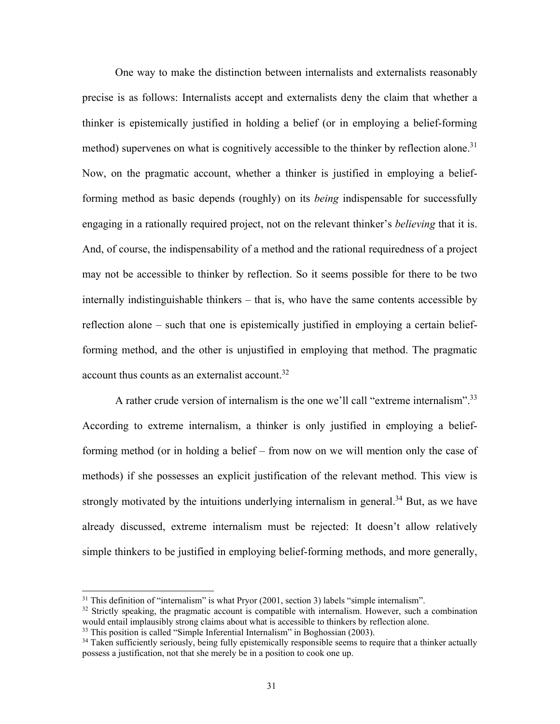One way to make the distinction between internalists and externalists reasonably precise is as follows: Internalists accept and externalists deny the claim that whether a thinker is epistemically justified in holding a belief (or in employing a belief-forming method) supervenes on what is cognitively accessible to the thinker by reflection alone.<sup>31</sup> Now, on the pragmatic account, whether a thinker is justified in employing a beliefforming method as basic depends (roughly) on its *being* indispensable for successfully engaging in a rationally required project, not on the relevant thinker's *believing* that it is. And, of course, the indispensability of a method and the rational requiredness of a project may not be accessible to thinker by reflection. So it seems possible for there to be two internally indistinguishable thinkers – that is, who have the same contents accessible by reflection alone – such that one is epistemically justified in employing a certain beliefforming method, and the other is unjustified in employing that method. The pragmatic account thus counts as an externalist account.<sup>32</sup>

A rather crude version of internalism is the one we'll call "extreme internalism".<sup>33</sup> According to extreme internalism, a thinker is only justified in employing a beliefforming method (or in holding a belief – from now on we will mention only the case of methods) if she possesses an explicit justification of the relevant method. This view is strongly motivated by the intuitions underlying internalism in general.<sup>34</sup> But, as we have already discussed, extreme internalism must be rejected: It doesn't allow relatively simple thinkers to be justified in employing belief-forming methods, and more generally,

<sup>&</sup>lt;sup>31</sup> This definition of "internalism" is what Pryor (2001, section 3) labels "simple internalism".<br><sup>32</sup> Strictly speaking, the pragmatic account is compatible with internalism. However, such a combination would entail imp

 $33$  This position is called "Simple Inferential Internalism" in Boghossian (2003).

<sup>&</sup>lt;sup>34</sup> Taken sufficiently seriously, being fully epistemically responsible seems to require that a thinker actually possess a justification, not that she merely be in a position to cook one up.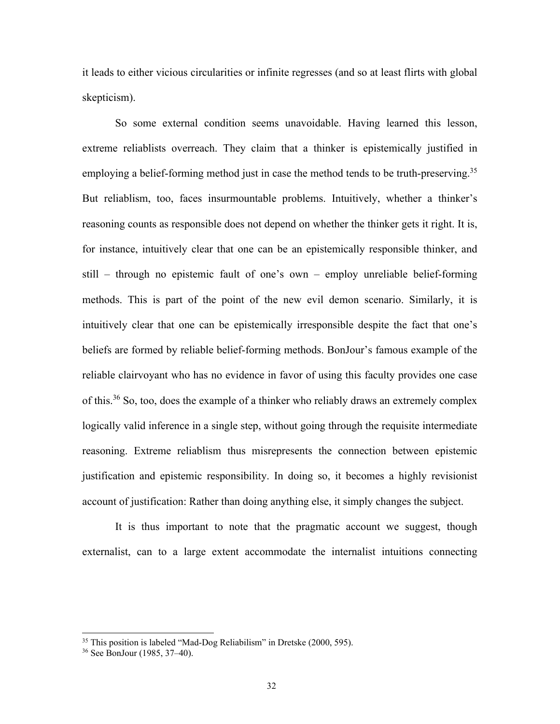it leads to either vicious circularities or infinite regresses (and so at least flirts with global skepticism).

So some external condition seems unavoidable. Having learned this lesson, extreme reliablists overreach. They claim that a thinker is epistemically justified in employing a belief-forming method just in case the method tends to be truth-preserving.<sup>35</sup> But reliablism, too, faces insurmountable problems. Intuitively, whether a thinker's reasoning counts as responsible does not depend on whether the thinker gets it right. It is, for instance, intuitively clear that one can be an epistemically responsible thinker, and still – through no epistemic fault of one's own – employ unreliable belief-forming methods. This is part of the point of the new evil demon scenario. Similarly, it is intuitively clear that one can be epistemically irresponsible despite the fact that one's beliefs are formed by reliable belief-forming methods. BonJour's famous example of the reliable clairvoyant who has no evidence in favor of using this faculty provides one case of this.<sup>36</sup> So, too, does the example of a thinker who reliably draws an extremely complex logically valid inference in a single step, without going through the requisite intermediate reasoning. Extreme reliablism thus misrepresents the connection between epistemic justification and epistemic responsibility. In doing so, it becomes a highly revisionist account of justification: Rather than doing anything else, it simply changes the subject.

It is thus important to note that the pragmatic account we suggest, though externalist, can to a large extent accommodate the internalist intuitions connecting

<sup>&</sup>lt;sup>35</sup> This position is labeled "Mad-Dog Reliabilism" in Dretske (2000, 595).<br><sup>36</sup> See BonJour (1985, 37–40).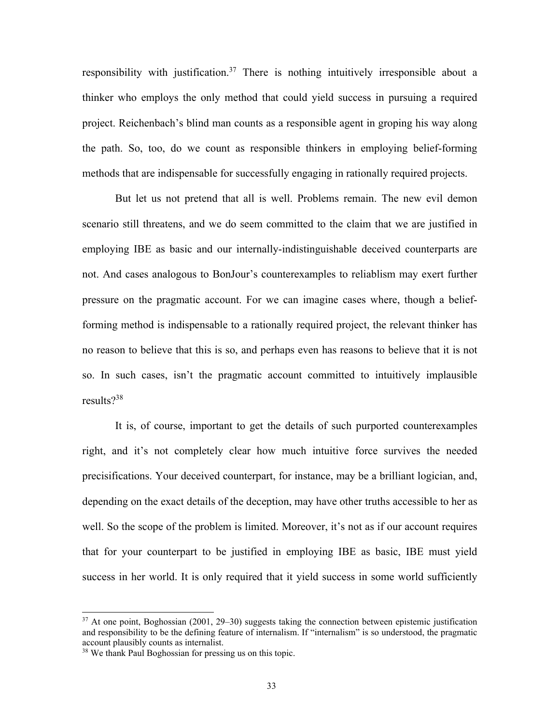responsibility with justification.<sup>37</sup> There is nothing intuitively irresponsible about a thinker who employs the only method that could yield success in pursuing a required project. Reichenbach's blind man counts as a responsible agent in groping his way along the path. So, too, do we count as responsible thinkers in employing belief-forming methods that are indispensable for successfully engaging in rationally required projects.

But let us not pretend that all is well. Problems remain. The new evil demon scenario still threatens, and we do seem committed to the claim that we are justified in employing IBE as basic and our internally-indistinguishable deceived counterparts are not. And cases analogous to BonJour's counterexamples to reliablism may exert further pressure on the pragmatic account. For we can imagine cases where, though a beliefforming method is indispensable to a rationally required project, the relevant thinker has no reason to believe that this is so, and perhaps even has reasons to believe that it is not so. In such cases, isn't the pragmatic account committed to intuitively implausible results?38

It is, of course, important to get the details of such purported counterexamples right, and it's not completely clear how much intuitive force survives the needed precisifications. Your deceived counterpart, for instance, may be a brilliant logician, and, depending on the exact details of the deception, may have other truths accessible to her as well. So the scope of the problem is limited. Moreover, it's not as if our account requires that for your counterpart to be justified in employing IBE as basic, IBE must yield success in her world. It is only required that it yield success in some world sufficiently

 $37$  At one point, Boghossian (2001, 29–30) suggests taking the connection between epistemic justification and responsibility to be the defining feature of internalism. If "internalism" is so understood, the pragmatic account plausibly counts as internalist.

<sup>38</sup> We thank Paul Boghossian for pressing us on this topic.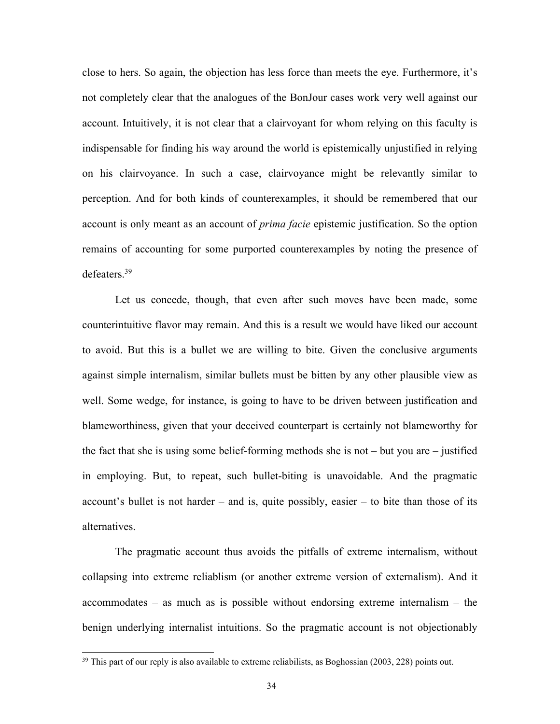close to hers. So again, the objection has less force than meets the eye. Furthermore, it's not completely clear that the analogues of the BonJour cases work very well against our account. Intuitively, it is not clear that a clairvoyant for whom relying on this faculty is indispensable for finding his way around the world is epistemically unjustified in relying on his clairvoyance. In such a case, clairvoyance might be relevantly similar to perception. And for both kinds of counterexamples, it should be remembered that our account is only meant as an account of *prima facie* epistemic justification. So the option remains of accounting for some purported counterexamples by noting the presence of defeaters.39

Let us concede, though, that even after such moves have been made, some counterintuitive flavor may remain. And this is a result we would have liked our account to avoid. But this is a bullet we are willing to bite. Given the conclusive arguments against simple internalism, similar bullets must be bitten by any other plausible view as well. Some wedge, for instance, is going to have to be driven between justification and blameworthiness, given that your deceived counterpart is certainly not blameworthy for the fact that she is using some belief-forming methods she is not – but you are – justified in employing. But, to repeat, such bullet-biting is unavoidable. And the pragmatic account's bullet is not harder – and is, quite possibly, easier – to bite than those of its alternatives.

 The pragmatic account thus avoids the pitfalls of extreme internalism, without collapsing into extreme reliablism (or another extreme version of externalism). And it accommodates – as much as is possible without endorsing extreme internalism – the benign underlying internalist intuitions. So the pragmatic account is not objectionably

 $39$  This part of our reply is also available to extreme reliabilists, as Boghossian (2003, 228) points out.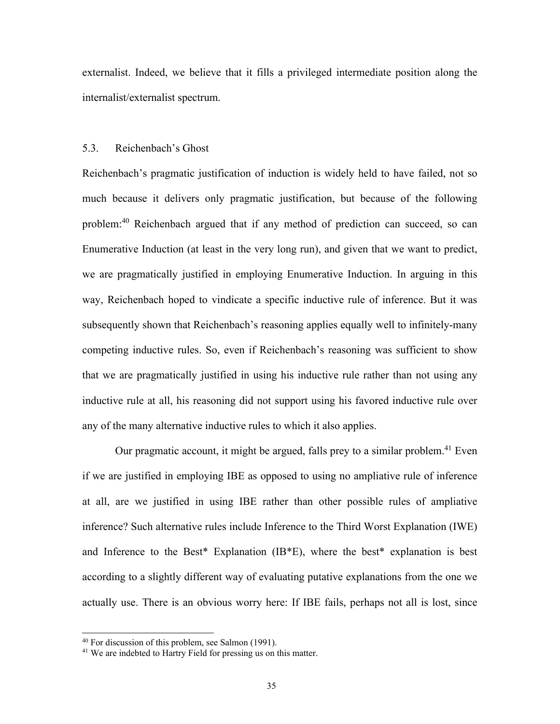externalist. Indeed, we believe that it fills a privileged intermediate position along the internalist/externalist spectrum.

#### 5.3. Reichenbach's Ghost

Reichenbach's pragmatic justification of induction is widely held to have failed, not so much because it delivers only pragmatic justification, but because of the following problem:40 Reichenbach argued that if any method of prediction can succeed, so can Enumerative Induction (at least in the very long run), and given that we want to predict, we are pragmatically justified in employing Enumerative Induction. In arguing in this way, Reichenbach hoped to vindicate a specific inductive rule of inference. But it was subsequently shown that Reichenbach's reasoning applies equally well to infinitely-many competing inductive rules. So, even if Reichenbach's reasoning was sufficient to show that we are pragmatically justified in using his inductive rule rather than not using any inductive rule at all, his reasoning did not support using his favored inductive rule over any of the many alternative inductive rules to which it also applies.

Our pragmatic account, it might be argued, falls prey to a similar problem.<sup>41</sup> Even if we are justified in employing IBE as opposed to using no ampliative rule of inference at all, are we justified in using IBE rather than other possible rules of ampliative inference? Such alternative rules include Inference to the Third Worst Explanation (IWE) and Inference to the Best\* Explanation (IB\*E), where the best\* explanation is best according to a slightly different way of evaluating putative explanations from the one we actually use. There is an obvious worry here: If IBE fails, perhaps not all is lost, since

<sup>40</sup> For discussion of this problem, see Salmon (1991).

<sup>&</sup>lt;sup>41</sup> We are indebted to Hartry Field for pressing us on this matter.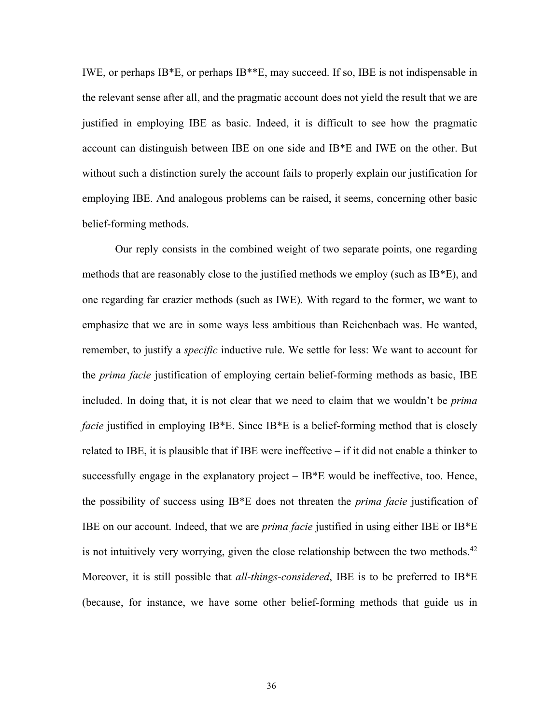IWE, or perhaps IB\*E, or perhaps IB\*\*E, may succeed. If so, IBE is not indispensable in the relevant sense after all, and the pragmatic account does not yield the result that we are justified in employing IBE as basic. Indeed, it is difficult to see how the pragmatic account can distinguish between IBE on one side and IB\*E and IWE on the other. But without such a distinction surely the account fails to properly explain our justification for employing IBE. And analogous problems can be raised, it seems, concerning other basic belief-forming methods.

 Our reply consists in the combined weight of two separate points, one regarding methods that are reasonably close to the justified methods we employ (such as IB\*E), and one regarding far crazier methods (such as IWE). With regard to the former, we want to emphasize that we are in some ways less ambitious than Reichenbach was. He wanted, remember, to justify a *specific* inductive rule. We settle for less: We want to account for the *prima facie* justification of employing certain belief-forming methods as basic, IBE included. In doing that, it is not clear that we need to claim that we wouldn't be *prima facie* justified in employing IB\*E. Since IB\*E is a belief-forming method that is closely related to IBE, it is plausible that if IBE were ineffective – if it did not enable a thinker to successfully engage in the explanatory project  $-$  IB\*E would be ineffective, too. Hence, the possibility of success using IB\*E does not threaten the *prima facie* justification of IBE on our account. Indeed, that we are *prima facie* justified in using either IBE or IB\*E is not intuitively very worrying, given the close relationship between the two methods. $42$ Moreover, it is still possible that *all-things-considered*, IBE is to be preferred to IB\*E (because, for instance, we have some other belief-forming methods that guide us in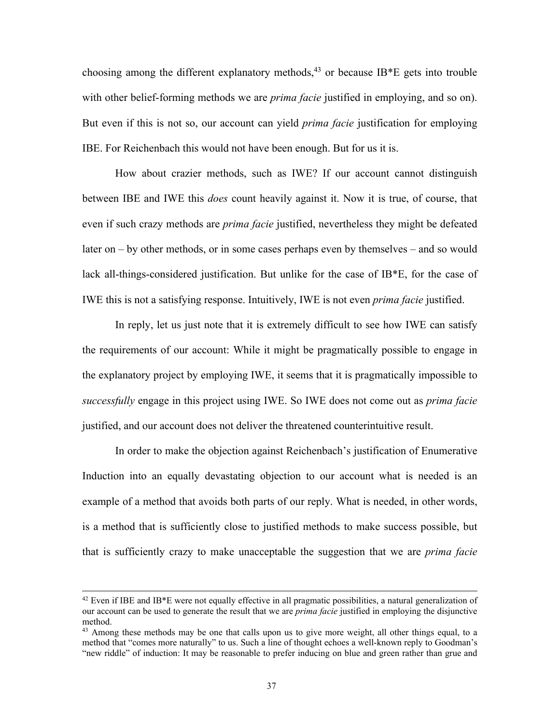choosing among the different explanatory methods,<sup>43</sup> or because IB\*E gets into trouble with other belief-forming methods we are *prima facie* justified in employing, and so on). But even if this is not so, our account can yield *prima facie* justification for employing IBE. For Reichenbach this would not have been enough. But for us it is.

 How about crazier methods, such as IWE? If our account cannot distinguish between IBE and IWE this *does* count heavily against it. Now it is true, of course, that even if such crazy methods are *prima facie* justified, nevertheless they might be defeated later on – by other methods, or in some cases perhaps even by themselves – and so would lack all-things-considered justification. But unlike for the case of IB\*E, for the case of IWE this is not a satisfying response. Intuitively, IWE is not even *prima facie* justified.

In reply, let us just note that it is extremely difficult to see how IWE can satisfy the requirements of our account: While it might be pragmatically possible to engage in the explanatory project by employing IWE, it seems that it is pragmatically impossible to *successfully* engage in this project using IWE. So IWE does not come out as *prima facie* justified, and our account does not deliver the threatened counterintuitive result.

 In order to make the objection against Reichenbach's justification of Enumerative Induction into an equally devastating objection to our account what is needed is an example of a method that avoids both parts of our reply. What is needed, in other words, is a method that is sufficiently close to justified methods to make success possible, but that is sufficiently crazy to make unacceptable the suggestion that we are *prima facie*

 $42$  Even if IBE and IB\*E were not equally effective in all pragmatic possibilities, a natural generalization of our account can be used to generate the result that we are *prima facie* justified in employing the disjunctive method.

 $43$  Among these methods may be one that calls upon us to give more weight, all other things equal, to a method that "comes more naturally" to us. Such a line of thought echoes a well-known reply to Goodman's "new riddle" of induction: It may be reasonable to prefer inducing on blue and green rather than grue and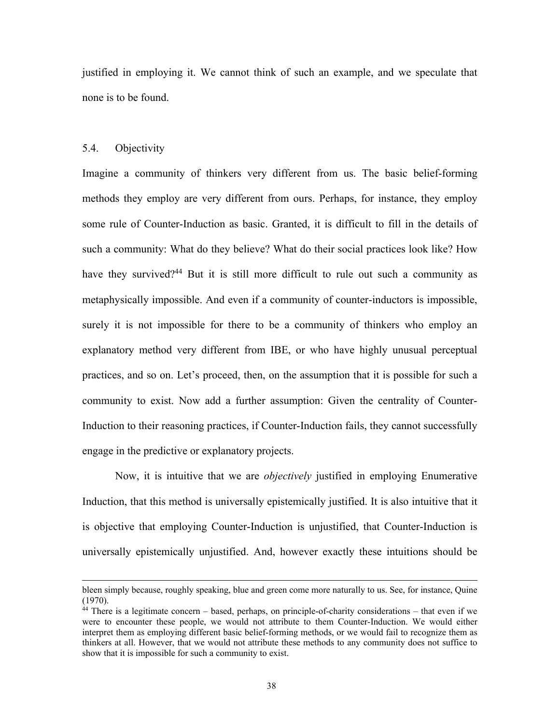justified in employing it. We cannot think of such an example, and we speculate that none is to be found.

#### 5.4. Objectivity

Imagine a community of thinkers very different from us. The basic belief-forming methods they employ are very different from ours. Perhaps, for instance, they employ some rule of Counter-Induction as basic. Granted, it is difficult to fill in the details of such a community: What do they believe? What do their social practices look like? How have they survived?<sup>44</sup> But it is still more difficult to rule out such a community as metaphysically impossible. And even if a community of counter-inductors is impossible, surely it is not impossible for there to be a community of thinkers who employ an explanatory method very different from IBE, or who have highly unusual perceptual practices, and so on. Let's proceed, then, on the assumption that it is possible for such a community to exist. Now add a further assumption: Given the centrality of Counter-Induction to their reasoning practices, if Counter-Induction fails, they cannot successfully engage in the predictive or explanatory projects.

Now, it is intuitive that we are *objectively* justified in employing Enumerative Induction, that this method is universally epistemically justified. It is also intuitive that it is objective that employing Counter-Induction is unjustified, that Counter-Induction is universally epistemically unjustified. And, however exactly these intuitions should be

bleen simply because, roughly speaking, blue and green come more naturally to us. See, for instance, Quine (1970).

<sup>44</sup> There is a legitimate concern – based, perhaps, on principle-of-charity considerations – that even if we were to encounter these people, we would not attribute to them Counter-Induction. We would either interpret them as employing different basic belief-forming methods, or we would fail to recognize them as thinkers at all. However, that we would not attribute these methods to any community does not suffice to show that it is impossible for such a community to exist.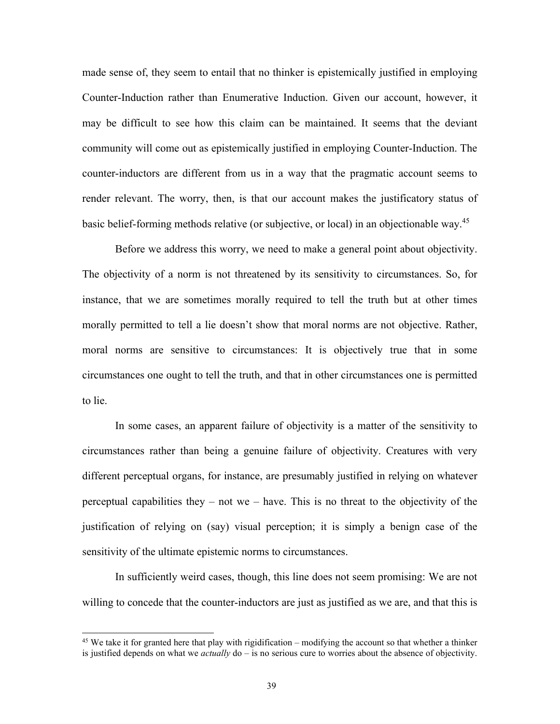made sense of, they seem to entail that no thinker is epistemically justified in employing Counter-Induction rather than Enumerative Induction. Given our account, however, it may be difficult to see how this claim can be maintained. It seems that the deviant community will come out as epistemically justified in employing Counter-Induction. The counter-inductors are different from us in a way that the pragmatic account seems to render relevant. The worry, then, is that our account makes the justificatory status of basic belief-forming methods relative (or subjective, or local) in an objectionable way.45

Before we address this worry, we need to make a general point about objectivity. The objectivity of a norm is not threatened by its sensitivity to circumstances. So, for instance, that we are sometimes morally required to tell the truth but at other times morally permitted to tell a lie doesn't show that moral norms are not objective. Rather, moral norms are sensitive to circumstances: It is objectively true that in some circumstances one ought to tell the truth, and that in other circumstances one is permitted to lie.

In some cases, an apparent failure of objectivity is a matter of the sensitivity to circumstances rather than being a genuine failure of objectivity. Creatures with very different perceptual organs, for instance, are presumably justified in relying on whatever perceptual capabilities they – not we – have. This is no threat to the objectivity of the justification of relying on (say) visual perception; it is simply a benign case of the sensitivity of the ultimate epistemic norms to circumstances.

In sufficiently weird cases, though, this line does not seem promising: We are not willing to concede that the counter-inductors are just as justified as we are, and that this is

<sup>&</sup>lt;sup>45</sup> We take it for granted here that play with rigidification – modifying the account so that whether a thinker is justified depends on what we *actually* do – is no serious cure to worries about the absence of objectivity.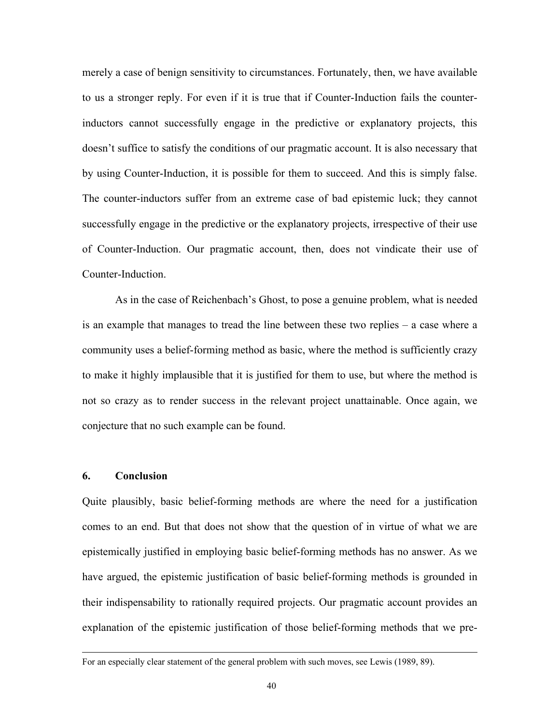merely a case of benign sensitivity to circumstances. Fortunately, then, we have available to us a stronger reply. For even if it is true that if Counter-Induction fails the counterinductors cannot successfully engage in the predictive or explanatory projects, this doesn't suffice to satisfy the conditions of our pragmatic account. It is also necessary that by using Counter-Induction, it is possible for them to succeed. And this is simply false. The counter-inductors suffer from an extreme case of bad epistemic luck; they cannot successfully engage in the predictive or the explanatory projects, irrespective of their use of Counter-Induction. Our pragmatic account, then, does not vindicate their use of Counter-Induction.

As in the case of Reichenbach's Ghost, to pose a genuine problem, what is needed is an example that manages to tread the line between these two replies – a case where a community uses a belief-forming method as basic, where the method is sufficiently crazy to make it highly implausible that it is justified for them to use, but where the method is not so crazy as to render success in the relevant project unattainable. Once again, we conjecture that no such example can be found.

#### **6. Conclusion**

Quite plausibly, basic belief-forming methods are where the need for a justification comes to an end. But that does not show that the question of in virtue of what we are epistemically justified in employing basic belief-forming methods has no answer. As we have argued, the epistemic justification of basic belief-forming methods is grounded in their indispensability to rationally required projects. Our pragmatic account provides an explanation of the epistemic justification of those belief-forming methods that we pre-

For an especially clear statement of the general problem with such moves, see Lewis (1989, 89).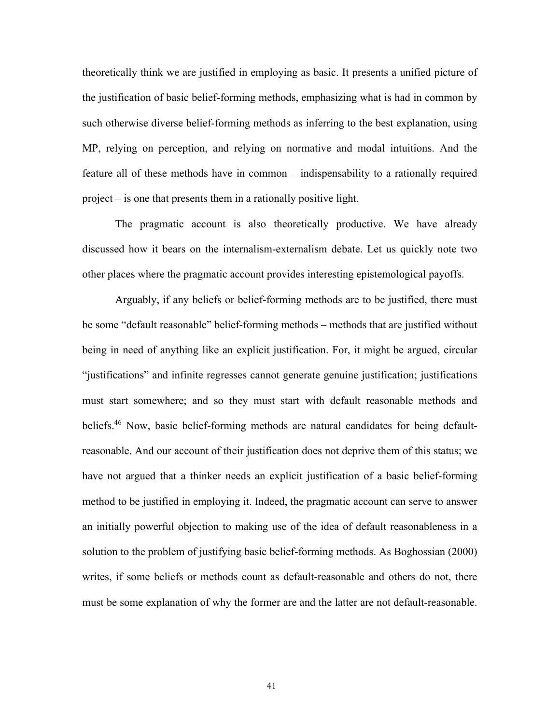theoretically think we are justified in employing as basic. It presents a unified picture of the justification of basic belief-forming methods, emphasizing what is had in common by such otherwise diverse belief-forming methods as inferring to the best explanation, using MP, relying on perception, and relying on normative and modal intuitions. And the feature all of these methods have in common – indispensability to a rationally required project – is one that presents them in a rationally positive light.

The pragmatic account is also theoretically productive. We have already discussed how it bears on the internalism-externalism debate. Let us quickly note two other places where the pragmatic account provides interesting epistemological payoffs.

Arguably, if any beliefs or belief-forming methods are to be justified, there must be some "default reasonable" belief-forming methods – methods that are justified without being in need of anything like an explicit justification. For, it might be argued, circular "justifications" and infinite regresses cannot generate genuine justification; justifications must start somewhere; and so they must start with default reasonable methods and beliefs.<sup>46</sup> Now, basic belief-forming methods are natural candidates for being defaultreasonable. And our account of their justification does not deprive them of this status; we have not argued that a thinker needs an explicit justification of a basic belief-forming method to be justified in employing it. Indeed, the pragmatic account can serve to answer an initially powerful objection to making use of the idea of default reasonableness in a solution to the problem of justifying basic belief-forming methods. As Boghossian (2000) writes, if some beliefs or methods count as default-reasonable and others do not, there must be some explanation of why the former are and the latter are not default-reasonable.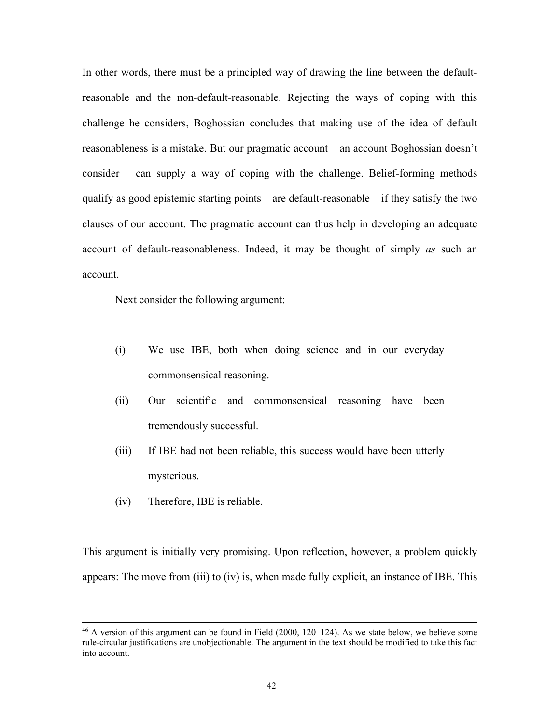In other words, there must be a principled way of drawing the line between the defaultreasonable and the non-default-reasonable. Rejecting the ways of coping with this challenge he considers, Boghossian concludes that making use of the idea of default reasonableness is a mistake. But our pragmatic account – an account Boghossian doesn't consider – can supply a way of coping with the challenge. Belief-forming methods qualify as good epistemic starting points – are default-reasonable – if they satisfy the two clauses of our account. The pragmatic account can thus help in developing an adequate account of default-reasonableness. Indeed, it may be thought of simply *as* such an account.

Next consider the following argument:

- (i) We use IBE, both when doing science and in our everyday commonsensical reasoning.
- (ii) Our scientific and commonsensical reasoning have been tremendously successful.
- (iii) If IBE had not been reliable, this success would have been utterly mysterious.
- (iv) Therefore, IBE is reliable.

This argument is initially very promising. Upon reflection, however, a problem quickly appears: The move from (iii) to (iv) is, when made fully explicit, an instance of IBE. This

 $46$  A version of this argument can be found in Field (2000, 120–124). As we state below, we believe some rule-circular justifications are unobjectionable. The argument in the text should be modified to take this fact into account.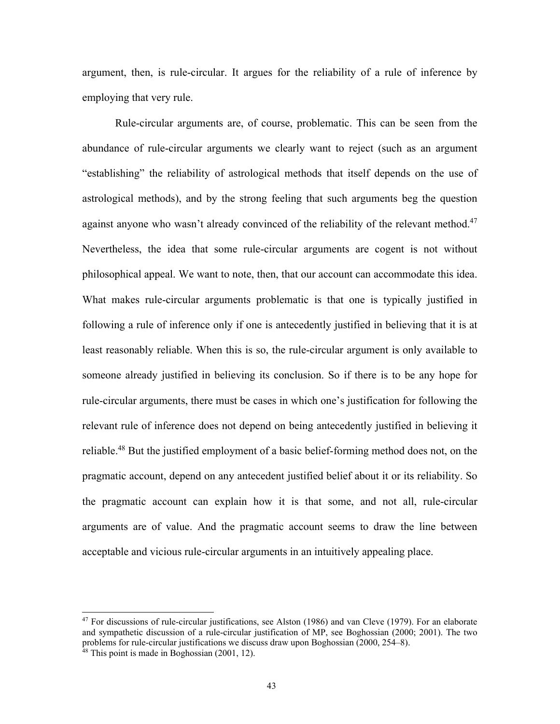argument, then, is rule-circular. It argues for the reliability of a rule of inference by employing that very rule.

Rule-circular arguments are, of course, problematic. This can be seen from the abundance of rule-circular arguments we clearly want to reject (such as an argument "establishing" the reliability of astrological methods that itself depends on the use of astrological methods), and by the strong feeling that such arguments beg the question against anyone who wasn't already convinced of the reliability of the relevant method.<sup>47</sup> Nevertheless, the idea that some rule-circular arguments are cogent is not without philosophical appeal. We want to note, then, that our account can accommodate this idea. What makes rule-circular arguments problematic is that one is typically justified in following a rule of inference only if one is antecedently justified in believing that it is at least reasonably reliable. When this is so, the rule-circular argument is only available to someone already justified in believing its conclusion. So if there is to be any hope for rule-circular arguments, there must be cases in which one's justification for following the relevant rule of inference does not depend on being antecedently justified in believing it reliable.<sup>48</sup> But the justified employment of a basic belief-forming method does not, on the pragmatic account, depend on any antecedent justified belief about it or its reliability. So the pragmatic account can explain how it is that some, and not all, rule-circular arguments are of value. And the pragmatic account seems to draw the line between acceptable and vicious rule-circular arguments in an intuitively appealing place.

<sup>&</sup>lt;sup>47</sup> For discussions of rule-circular justifications, see Alston (1986) and van Cleve (1979). For an elaborate and sympathetic discussion of a rule-circular justification of MP, see Boghossian (2000; 2001). The two problems for rule-circular justifications we discuss draw upon Boghossian (2000, 254–8).<br><sup>48</sup> This point is made in Boghossian (2001, 12).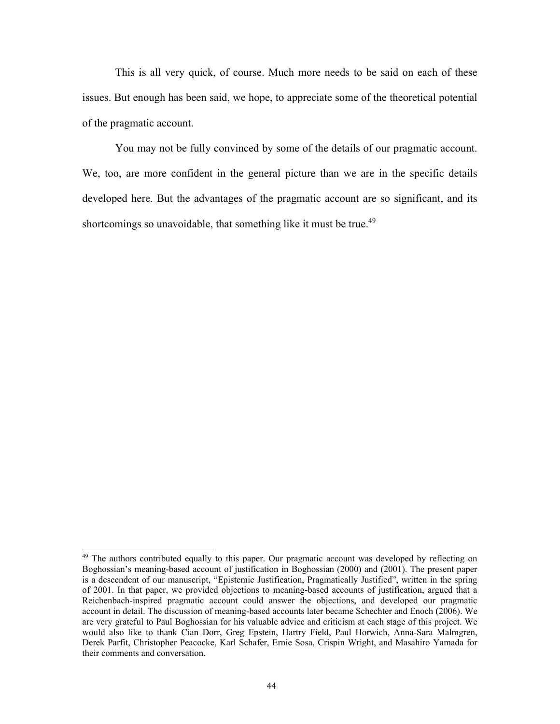This is all very quick, of course. Much more needs to be said on each of these issues. But enough has been said, we hope, to appreciate some of the theoretical potential of the pragmatic account.

You may not be fully convinced by some of the details of our pragmatic account. We, too, are more confident in the general picture than we are in the specific details developed here. But the advantages of the pragmatic account are so significant, and its shortcomings so unavoidable, that something like it must be true.<sup>49</sup>

<sup>&</sup>lt;sup>49</sup> The authors contributed equally to this paper. Our pragmatic account was developed by reflecting on Boghossian's meaning-based account of justification in Boghossian (2000) and (2001). The present paper is a descendent of our manuscript, "Epistemic Justification, Pragmatically Justified", written in the spring of 2001. In that paper, we provided objections to meaning-based accounts of justification, argued that a Reichenbach-inspired pragmatic account could answer the objections, and developed our pragmatic account in detail. The discussion of meaning-based accounts later became Schechter and Enoch (2006). We are very grateful to Paul Boghossian for his valuable advice and criticism at each stage of this project. We would also like to thank Cian Dorr, Greg Epstein, Hartry Field, Paul Horwich, Anna-Sara Malmgren, Derek Parfit, Christopher Peacocke, Karl Schafer, Ernie Sosa, Crispin Wright, and Masahiro Yamada for their comments and conversation.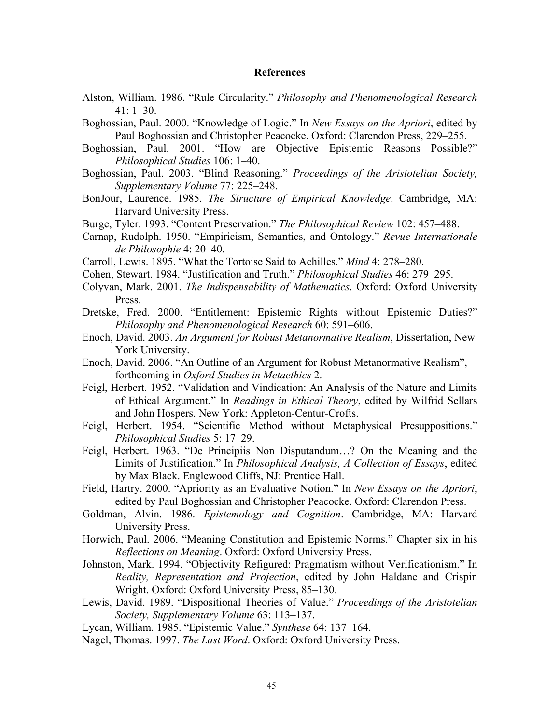#### **References**

- Alston, William. 1986. "Rule Circularity." *Philosophy and Phenomenological Research* 41: 1–30.
- Boghossian, Paul. 2000. "Knowledge of Logic." In *New Essays on the Apriori*, edited by Paul Boghossian and Christopher Peacocke. Oxford: Clarendon Press, 229–255.
- Boghossian, Paul. 2001. "How are Objective Epistemic Reasons Possible?" *Philosophical Studies* 106: 1–40.
- Boghossian, Paul. 2003. "Blind Reasoning." *Proceedings of the Aristotelian Society, Supplementary Volume* 77: 225–248.
- BonJour, Laurence. 1985. *The Structure of Empirical Knowledge*. Cambridge, MA: Harvard University Press.
- Burge, Tyler. 1993. "Content Preservation." *The Philosophical Review* 102: 457–488.
- Carnap, Rudolph. 1950. "Empiricism, Semantics, and Ontology." *Revue Internationale de Philosophie* 4: 20–40.
- Carroll, Lewis. 1895. "What the Tortoise Said to Achilles." *Mind* 4: 278–280.
- Cohen, Stewart. 1984. "Justification and Truth." *Philosophical Studies* 46: 279–295.
- Colyvan, Mark. 2001. *The Indispensability of Mathematics*. Oxford: Oxford University Press.
- Dretske, Fred. 2000. "Entitlement: Epistemic Rights without Epistemic Duties?" *Philosophy and Phenomenological Research* 60: 591–606.
- Enoch, David. 2003. *An Argument for Robust Metanormative Realism*, Dissertation, New York University.
- Enoch, David. 2006. "An Outline of an Argument for Robust Metanormative Realism", forthcoming in *Oxford Studies in Metaethics* 2.
- Feigl, Herbert. 1952. "Validation and Vindication: An Analysis of the Nature and Limits of Ethical Argument." In *Readings in Ethical Theory*, edited by Wilfrid Sellars and John Hospers. New York: Appleton-Centur-Crofts.
- Feigl, Herbert. 1954. "Scientific Method without Metaphysical Presuppositions." *Philosophical Studies* 5: 17–29.
- Feigl, Herbert. 1963. "De Principiis Non Disputandum…? On the Meaning and the Limits of Justification." In *Philosophical Analysis, A Collection of Essays*, edited by Max Black. Englewood Cliffs, NJ: Prentice Hall.
- Field, Hartry. 2000. "Apriority as an Evaluative Notion." In *New Essays on the Apriori*, edited by Paul Boghossian and Christopher Peacocke. Oxford: Clarendon Press.
- Goldman, Alvin. 1986. *Epistemology and Cognition*. Cambridge, MA: Harvard University Press.
- Horwich, Paul. 2006. "Meaning Constitution and Epistemic Norms." Chapter six in his *Reflections on Meaning*. Oxford: Oxford University Press.
- Johnston, Mark. 1994. "Objectivity Refigured: Pragmatism without Verificationism." In *Reality, Representation and Projection*, edited by John Haldane and Crispin Wright. Oxford: Oxford University Press, 85–130.
- Lewis, David. 1989. "Dispositional Theories of Value." *Proceedings of the Aristotelian Society, Supplementary Volume* 63: 113–137.
- Lycan, William. 1985. "Epistemic Value." *Synthese* 64: 137–164.
- Nagel, Thomas. 1997. *The Last Word*. Oxford: Oxford University Press.